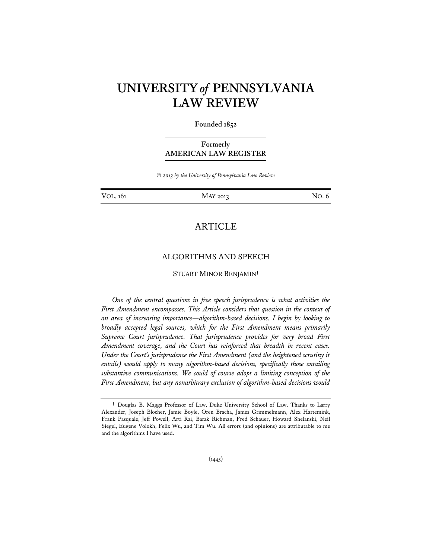# **UNIVERSITY** *of* **PENNSYLVANIA LAW REVIEW**

### **Founded 1852**

### **Formerly AMERICAN LAW REGISTER**

*© 2013 by the University of Pennsylvania Law Review* 

VOL. 161 MAY 2013 MAY 2013

## ARTICLE

### ALGORITHMS AND SPEECH

### STUART MINOR BENJAMIN**†**

*One of the central questions in free speech jurisprudence is what activities the First Amendment encompasses. This Article considers that question in the context of an area of increasing importance—algorithm-based decisions. I begin by looking to broadly accepted legal sources, which for the First Amendment means primarily Supreme Court jurisprudence. That jurisprudence provides for very broad First Amendment coverage, and the Court has reinforced that breadth in recent cases. Under the Court's jurisprudence the First Amendment (and the heightened scrutiny it entails) would apply to many algorithm-based decisions, specifically those entailing substantive communications. We could of course adopt a limiting conception of the First Amendment, but any nonarbitrary exclusion of algorithm-based decisions would* 

**<sup>†</sup>** Douglas B. Maggs Professor of Law, Duke University School of Law. Thanks to Larry Alexander, Joseph Blocher, Jamie Boyle, Oren Bracha, James Grimmelmann, Alex Hartemink, Frank Pasquale, Jeff Powell, Arti Rai, Barak Richman, Fred Schauer, Howard Shelanski, Neil Siegel, Eugene Volokh, Felix Wu, and Tim Wu. All errors (and opinions) are attributable to me and the algorithms I have used.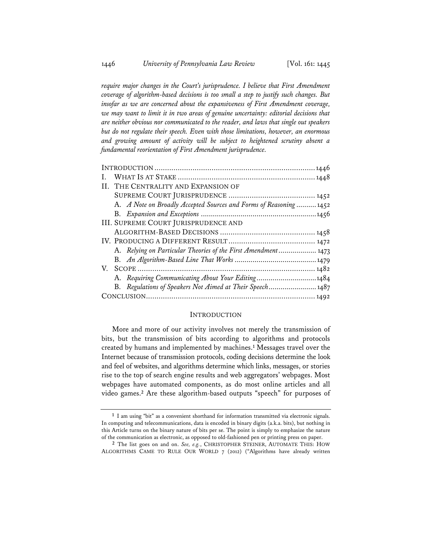*require major changes in the Court's jurisprudence. I believe that First Amendment coverage of algorithm-based decisions is too small a step to justify such changes. But insofar as we are concerned about the expansiveness of First Amendment coverage, we may want to limit it in two areas of genuine uncertainty: editorial decisions that are neither obvious nor communicated to the reader, and laws that single out speakers but do not regulate their speech. Even with those limitations, however, an enormous and growing amount of activity will be subject to heightened scrutiny absent a fundamental reorientation of First Amendment jurisprudence.* 

| Ι.                                                                 |
|--------------------------------------------------------------------|
| THE CENTRALITY AND EXPANSION OF<br>H.                              |
|                                                                    |
| A. A Note on Broadly Accepted Sources and Forms of Reasoning  1452 |
|                                                                    |
| <b>III. SUPREME COURT JURISPRUDENCE AND</b>                        |
|                                                                    |
|                                                                    |
| A. Relying on Particular Theories of the First Amendment 1473      |
|                                                                    |
|                                                                    |
| A. Requiring Communicating About Your Editing1484                  |
| Regulations of Speakers Not Aimed at Their Speech 1487<br>В.       |
|                                                                    |

### INTRODUCTION

More and more of our activity involves not merely the transmission of bits, but the transmission of bits according to algorithms and protocols created by humans and implemented by machines.**<sup>1</sup>** Messages travel over the Internet because of transmission protocols, coding decisions determine the look and feel of websites, and algorithms determine which links, messages, or stories rise to the top of search engine results and web aggregators' webpages. Most webpages have automated components, as do most online articles and all video games.**<sup>2</sup>** Are these algorithm-based outputs "speech" for purposes of

**<sup>1</sup>** I am using "bit" as a convenient shorthand for information transmitted via electronic signals. In computing and telecommunications, data is encoded in binary digits (a.k.a. bits), but nothing in this Article turns on the binary nature of bits per se. The point is simply to emphasize the nature of the communication as electronic, as opposed to old-fashioned pen or printing press on paper.

**<sup>2</sup>** The list goes on and on. *See, e.g.*, CHRISTOPHER STEINER, AUTOMATE THIS: HOW ALGORITHMS CAME TO RULE OUR WORLD 7 (2012) ("Algorithms have already written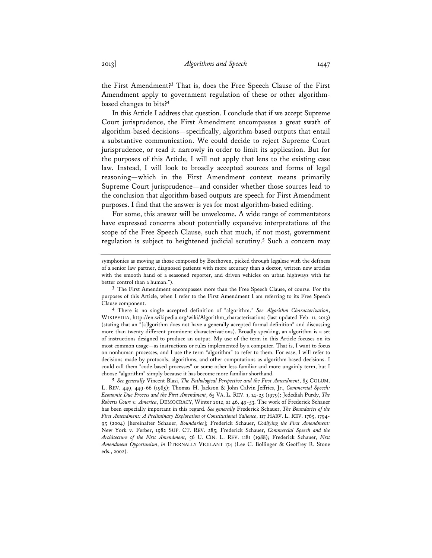the First Amendment?**<sup>3</sup>** That is, does the Free Speech Clause of the First Amendment apply to government regulation of these or other algorithmbased changes to bits?**<sup>4</sup>**

In this Article I address that question. I conclude that if we accept Supreme Court jurisprudence, the First Amendment encompasses a great swath of algorithm-based decisions—specifically, algorithm-based outputs that entail a substantive communication. We could decide to reject Supreme Court jurisprudence, or read it narrowly in order to limit its application. But for the purposes of this Article, I will not apply that lens to the existing case law. Instead, I will look to broadly accepted sources and forms of legal reasoning—which in the First Amendment context means primarily Supreme Court jurisprudence—and consider whether those sources lead to the conclusion that algorithm-based outputs are speech for First Amendment purposes. I find that the answer is yes for most algorithm-based editing.

For some, this answer will be unwelcome. A wide range of commentators have expressed concerns about potentially expansive interpretations of the scope of the Free Speech Clause, such that much, if not most, government regulation is subject to heightened judicial scrutiny.**<sup>5</sup>** Such a concern may

symphonies as moving as those composed by Beethoven, picked through legalese with the deftness of a senior law partner, diagnosed patients with more accuracy than a doctor, written new articles with the smooth hand of a seasoned reporter, and driven vehicles on urban highways with far better control than a human.").

**<sup>3</sup>** The First Amendment encompasses more than the Free Speech Clause, of course. For the purposes of this Article, when I refer to the First Amendment I am referring to its Free Speech Clause component.

**<sup>4</sup>** There is no single accepted definition of "algorithm." *See Algorithm Characterization*, WIKIPEDIA, http://en.wikipedia.org/wiki/Algorithm\_characterizations (last updated Feb. 11, 2013) (stating that an "[a]lgorithm does not have a generally accepted formal definition" and discussing more than twenty different prominent characterizations). Broadly speaking, an algorithm is a set of instructions designed to produce an output. My use of the term in this Article focuses on its most common usage—as instructions or rules implemented by a computer. That is, I want to focus on nonhuman processes, and I use the term "algorithm" to refer to them. For ease, I will refer to decisions made by protocols, algorithms, and other computations as algorithm-based decisions. I could call them "code-based processes" or some other less-familiar and more ungainly term, but I choose "algorithm" simply because it has become more familiar shorthand.

**<sup>5</sup>** *See generally* Vincent Blasi, *The Pathological Perspective and the First Amendment*, 85 COLUM. L. REV. 449, 449-66 (1985); Thomas H. Jackson & John Calvin Jeffries, Jr., *Commercial Speech: Economic Due Process and the First Amendment*, 65 VA. L. REV. 1, 14-25 (1979); Jedediah Purdy, *The Roberts Court v. America*, DEMOCRACY, Winter 2012, at 46, 49-53. The work of Frederick Schauer has been especially important in this regard. *See generally* Frederick Schauer, *The Boundaries of the First Amendment: A Preliminary Exploration of Constitutional Salience*, 117 HARV. L. REV. 1765, 1794- 95 (2004) [hereinafter Schauer, *Boundaries*]; Frederick Schauer, *Codifying the First Amendment:*  New York v. Ferber, 1982 SUP. CT. REV. 285; Frederick Schauer, *Commercial Speech and the Architecture of the First Amendment*, 56 U. CIN. L. REV. 1181 (1988); Frederick Schauer, *First Amendment Opportunism*, *in* ETERNALLY VIGILANT 174 (Lee C. Bollinger & Geoffrey R. Stone eds., 2002).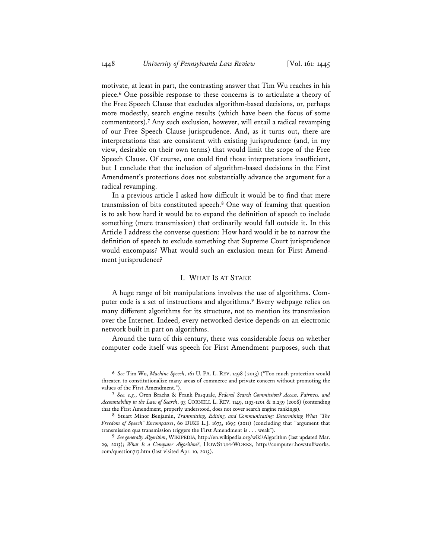motivate, at least in part, the contrasting answer that Tim Wu reaches in his piece.**<sup>6</sup>** One possible response to these concerns is to articulate a theory of the Free Speech Clause that excludes algorithm-based decisions, or, perhaps more modestly, search engine results (which have been the focus of some commentators).**<sup>7</sup>** Any such exclusion, however, will entail a radical revamping of our Free Speech Clause jurisprudence. And, as it turns out, there are interpretations that are consistent with existing jurisprudence (and, in my view, desirable on their own terms) that would limit the scope of the Free Speech Clause. Of course, one could find those interpretations insufficient, but I conclude that the inclusion of algorithm-based decisions in the First Amendment's protections does not substantially advance the argument for a radical revamping.

In a previous article I asked how difficult it would be to find that mere transmission of bits constituted speech.**<sup>8</sup>** One way of framing that question is to ask how hard it would be to expand the definition of speech to include something (mere transmission) that ordinarily would fall outside it. In this Article I address the converse question: How hard would it be to narrow the definition of speech to exclude something that Supreme Court jurisprudence would encompass? What would such an exclusion mean for First Amendment jurisprudence?

### I. WHAT IS AT STAKE

A huge range of bit manipulations involves the use of algorithms. Computer code is a set of instructions and algorithms.**<sup>9</sup>** Every webpage relies on many different algorithms for its structure, not to mention its transmission over the Internet. Indeed, every networked device depends on an electronic network built in part on algorithms.

Around the turn of this century, there was considerable focus on whether computer code itself was speech for First Amendment purposes, such that

**<sup>6</sup>** *See* Tim Wu, *Machine Speech*, 161 U. PA. L. REV. 1498 (2013) ("Too much protection would threaten to constitutionalize many areas of commerce and private concern without promoting the values of the First Amendment.").

**<sup>7</sup>** *See, e.g.*, Oren Bracha & Frank Pasquale, *Federal Search Commission? Access, Fairness, and Accountability in the Law of Search*, 93 CORNELL L. REV. 1149, 1193-1201 & n.239 (2008) (contending that the First Amendment, properly understood, does not cover search engine rankings).

**<sup>8</sup>** Stuart Minor Benjamin, *Transmitting, Editing, and Communicating: Determining What "The Freedom of Speech" Encompasses*, 60 DUKE L.J. 1673, 1695 (2011) (concluding that "argument that transmission qua transmission triggers the First Amendment is . . . weak").

**<sup>9</sup>** *See generally Algorithm*, WIKIPEDIA, http://en.wikipedia.org/wiki/Algorithm (last updated Mar. 29, 2013); *What Is a Computer Algorithm?*, HOWSTUFFWORKS, http://computer.howstuffworks. com/question717.htm (last visited Apr. 10, 2013).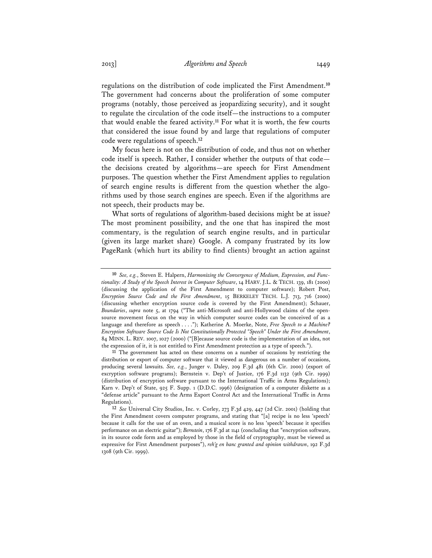regulations on the distribution of code implicated the First Amendment.**<sup>10</sup>** The government had concerns about the proliferation of some computer programs (notably, those perceived as jeopardizing security), and it sought to regulate the circulation of the code itself—the instructions to a computer that would enable the feared activity.**<sup>11</sup>** For what it is worth, the few courts that considered the issue found by and large that regulations of computer code were regulations of speech.**<sup>12</sup>**

My focus here is not on the distribution of code, and thus not on whether code itself is speech. Rather, I consider whether the outputs of that code the decisions created by algorithms—are speech for First Amendment purposes. The question whether the First Amendment applies to regulation of search engine results is different from the question whether the algorithms used by those search engines are speech. Even if the algorithms are not speech, their products may be.

What sorts of regulations of algorithm-based decisions might be at issue? The most prominent possibility, and the one that has inspired the most commentary, is the regulation of search engine results, and in particular (given its large market share) Google. A company frustrated by its low PageRank (which hurt its ability to find clients) brought an action against

**<sup>10</sup>** *See, e.g.*, Steven E. Halpern, *Harmonizing the Convergence of Medium, Expression, and Functionality: A Study of the Speech Interest in Computer Software*, 14 HARV. J.L. & TECH. 139, 181 (2000) (discussing the application of the First Amendment to computer software); Robert Post, *Encryption Source Code and the First Amendment*, 15 BERKELEY TECH. L.J. 713, 716 (2000) (discussing whether encryption source code is covered by the First Amendment); Schauer, *Boundaries*, *supra* note 5, at 1794 ("The anti-Microsoft and anti-Hollywood claims of the opensource movement focus on the way in which computer source codes can be conceived of as a language and therefore as speech . . . ."); Katherine A. Moerke, Note, *Free Speech to a Machine? Encryption Software Source Code Is Not Constitutionally Protected "Speech" Under the First Amendment*, 84 MINN. L. REV. 1007, 1027 (2000) ("[B]ecause source code is the implementation of an idea, not the expression of it, it is not entitled to First Amendment protection as a type of speech.").

**<sup>11</sup>** The government has acted on these concerns on a number of occasions by restricting the distribution or export of computer software that it viewed as dangerous on a number of occasions, producing several lawsuits. *See, e.g.*, Junger v. Daley, 209 F.3d 481 (6th Cir. 2000) (export of excryption software programs); Bernstein v. Dep't of Justice, 176 F.3d 1132 (9th Cir. 1999) (distribution of encryption software pursuant to the International Traffic in Arms Regulations); Karn v. Dep't of State, 925 F. Supp. 1 (D.D.C. 1996) (designation of a computer diskette as a "defense article" pursuant to the Arms Export Control Act and the International Traffic in Arms Regulations).

**<sup>12</sup>** *See* Universal City Studios, Inc. v. Corley, 273 F.3d 429, 447 (2d Cir. 2001) (holding that the First Amendment covers computer programs, and stating that "[a] recipe is no less 'speech' because it calls for the use of an oven, and a musical score is no less 'speech' because it specifies performance on an electric guitar"); *Bernstein*, 176 F.3d at 1141 (concluding that "encryption software, in its source code form and as employed by those in the field of cryptography, must be viewed as expressive for First Amendment purposes"), *reh'g en banc granted and opinion withdrawn*, 192 F.3d 1308 (9th Cir. 1999).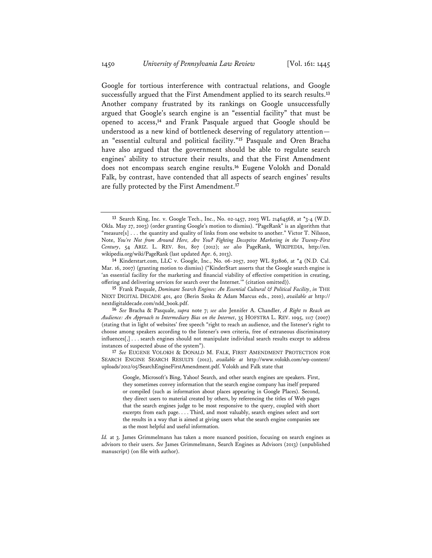Google for tortious interference with contractual relations, and Google successfully argued that the First Amendment applied to its search results.**<sup>13</sup>** Another company frustrated by its rankings on Google unsuccessfully argued that Google's search engine is an "essential facility" that must be opened to access,**<sup>14</sup>** and Frank Pasquale argued that Google should be understood as a new kind of bottleneck deserving of regulatory attention an "essential cultural and political facility."**<sup>15</sup>** Pasquale and Oren Bracha have also argued that the government should be able to regulate search engines' ability to structure their results, and that the First Amendment does not encompass search engine results.**<sup>16</sup>** Eugene Volokh and Donald Falk, by contrast, have contended that all aspects of search engines' results are fully protected by the First Amendment.**<sup>17</sup>**

**<sup>13</sup>** Search King, Inc. v. Google Tech., Inc., No. 02-1457, 2003 WL 21464568, at \*3-4 (W.D. Okla. May 27, 2003) (order granting Google's motion to dismiss). "PageRank" is an algorithm that "measure[s] . . . the quantity and quality of links from one website to another." Victor T. Nilsson, Note, *You're Not from Around Here, Are You? Fighting Deceptive Marketing in the Twenty-First Century*, 54 ARIZ. L. REV. 801, 807 (2012); *see also* PageRank, WIKIPEDIA, http://en. wikipedia.org/wiki/PageRank (last updated Apr. 6, 2013).

**<sup>14</sup>** Kinderstart.com, LLC v. Google, Inc., No. 06-2057, 2007 WL 831806, at \*4 (N.D. Cal. Mar. 16, 2007) (granting motion to dismiss) ("KinderStart asserts that the Google search engine is 'an essential facility for the marketing and financial viability of effective competition in creating, offering and delivering services for search over the Internet.'" (citation omitted)).

**<sup>15</sup>** Frank Pasquale, *Dominant Search Engines: An Essential Cultural & Political Facility*, *in* THE NEXT DIGITAL DECADE 401, 402 (Berin Szoka & Adam Marcus eds., 2010), *available at* http:// nextdigitaldecade.com/ndd\_book.pdf.

**<sup>16</sup>** *See* Bracha & Pasquale, *supra* note 7; *see also* Jennifer A. Chandler, *A Right to Reach an Audience: An Approach to Intermediary Bias on the Internet*, 35 HOFSTRA L. REV. 1095, 1117 (2007) (stating that in light of websites' free speech "right to reach an audience, and the listener's right to choose among speakers according to the listener's own criteria, free of extraneous discriminatory influences[,] . . . search engines should not manipulate individual search results except to address instances of suspected abuse of the system").

**<sup>17</sup>** *See* EUGENE VOLOKH & DONALD M. FALK, FIRST AMENDMENT PROTECTION FOR SEARCH ENGINE SEARCH RESULTS (2012), *available at* http://www.volokh.com/wp-content/ uploads/2012/05/SearchEngineFirstAmendment.pdf. Volokh and Falk state that

Google, Microsoft's Bing, Yahoo! Search, and other search engines are speakers. First, they sometimes convey information that the search engine company has itself prepared or compiled (such as information about places appearing in Google Places). Second, they direct users to material created by others, by referencing the titles of Web pages that the search engines judge to be most responsive to the query, coupled with short excerpts from each page. . . . Third, and most valuably, search engines select and sort the results in a way that is aimed at giving users what the search engine companies see as the most helpful and useful information.

*Id.* at 3. James Grimmelmann has taken a more nuanced position, focusing on search engines as advisors to their users. *See* James Grimmelmann, Search Engines as Advisors (2013) (unpublished manuscript) (on file with author).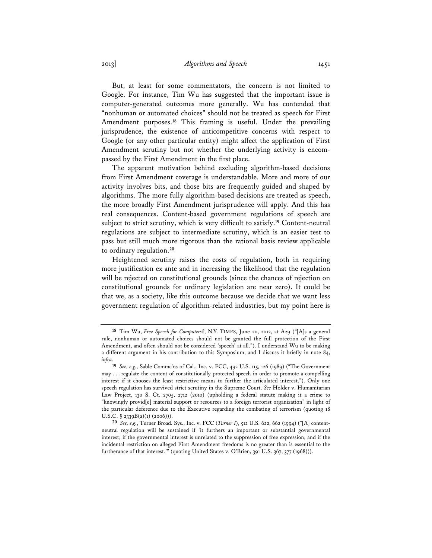But, at least for some commentators, the concern is not limited to Google. For instance, Tim Wu has suggested that the important issue is computer-generated outcomes more generally. Wu has contended that "nonhuman or automated choices" should not be treated as speech for First Amendment purposes.**<sup>18</sup>** This framing is useful. Under the prevailing jurisprudence, the existence of anticompetitive concerns with respect to Google (or any other particular entity) might affect the application of First Amendment scrutiny but not whether the underlying activity is encompassed by the First Amendment in the first place.

The apparent motivation behind excluding algorithm-based decisions from First Amendment coverage is understandable. More and more of our activity involves bits, and those bits are frequently guided and shaped by algorithms. The more fully algorithm-based decisions are treated as speech, the more broadly First Amendment jurisprudence will apply. And this has real consequences. Content-based government regulations of speech are subject to strict scrutiny, which is very difficult to satisfy.**<sup>19</sup>** Content-neutral regulations are subject to intermediate scrutiny, which is an easier test to pass but still much more rigorous than the rational basis review applicable to ordinary regulation.**<sup>20</sup>**

Heightened scrutiny raises the costs of regulation, both in requiring more justification ex ante and in increasing the likelihood that the regulation will be rejected on constitutional grounds (since the chances of rejection on constitutional grounds for ordinary legislation are near zero). It could be that we, as a society, like this outcome because we decide that we want less government regulation of algorithm-related industries, but my point here is

**<sup>18</sup>** Tim Wu, *Free Speech for Computers?*, N.Y. TIMES, June 20, 2012, at A29 ("[A]s a general rule, nonhuman or automated choices should not be granted the full protection of the First Amendment, and often should not be considered 'speech' at all."). I understand Wu to be making a different argument in his contribution to this Symposium, and I discuss it briefly in note 84, *infra*.

**<sup>19</sup>** *See, e.g.*, Sable Commc'ns of Cal., Inc. v. FCC, 492 U.S. 115, 126 (1989) ("The Government may . . . regulate the content of constitutionally protected speech in order to promote a compelling interest if it chooses the least restrictive means to further the articulated interest."). Only one speech regulation has survived strict scrutiny in the Supreme Court. *See* Holder v. Humanitarian Law Project, 130 S. Ct. 2705, 2712 (2010) (upholding a federal statute making it a crime to "knowingly provid[e] material support or resources to a foreign terrorist organization" in light of the particular deference due to the Executive regarding the combating of terrorism (quoting 18 U.S.C.  $\S$  2339B(a)(1) (2006))).

**<sup>20</sup>** *See, e.g.*, Turner Broad. Sys., Inc. v. FCC (*Turner I*), 512 U.S. 622, 662 (1994) ("[A] contentneutral regulation will be sustained if 'it furthers an important or substantial governmental interest; if the governmental interest is unrelated to the suppression of free expression; and if the incidental restriction on alleged First Amendment freedoms is no greater than is essential to the furtherance of that interest.'" (quoting United States v. O'Brien, 391 U.S. 367, 377 (1968))).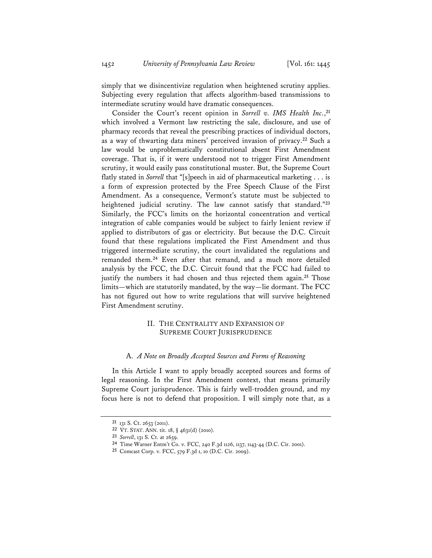simply that we disincentivize regulation when heightened scrutiny applies. Subjecting every regulation that affects algorithm-based transmissions to intermediate scrutiny would have dramatic consequences.

Consider the Court's recent opinion in *Sorrell v. IMS Health Inc.*, **21** which involved a Vermont law restricting the sale, disclosure, and use of pharmacy records that reveal the prescribing practices of individual doctors, as a way of thwarting data miners' perceived invasion of privacy.**<sup>22</sup>** Such a law would be unproblematically constitutional absent First Amendment coverage. That is, if it were understood not to trigger First Amendment scrutiny, it would easily pass constitutional muster. But, the Supreme Court flatly stated in *Sorrell* that "[s]peech in aid of pharmaceutical marketing . . . is a form of expression protected by the Free Speech Clause of the First Amendment. As a consequence, Vermont's statute must be subjected to heightened judicial scrutiny. The law cannot satisfy that standard."**<sup>23</sup>** Similarly, the FCC's limits on the horizontal concentration and vertical integration of cable companies would be subject to fairly lenient review if applied to distributors of gas or electricity. But because the D.C. Circuit found that these regulations implicated the First Amendment and thus triggered intermediate scrutiny, the court invalidated the regulations and remanded them.**<sup>24</sup>** Even after that remand, and a much more detailed analysis by the FCC, the D.C. Circuit found that the FCC had failed to justify the numbers it had chosen and thus rejected them again.**<sup>25</sup>** Those limits—which are statutorily mandated, by the way—lie dormant. The FCC has not figured out how to write regulations that will survive heightened First Amendment scrutiny.

### II. THE CENTRALITY AND EXPANSION OF SUPREME COURT JURISPRUDENCE

### A. *A Note on Broadly Accepted Sources and Forms of Reasoning*

In this Article I want to apply broadly accepted sources and forms of legal reasoning. In the First Amendment context, that means primarily Supreme Court jurisprudence. This is fairly well-trodden ground, and my focus here is not to defend that proposition. I will simply note that, as a

**<sup>21</sup>** 131 S. Ct. 2653 (2011).

**<sup>22</sup>** VT. STAT. ANN. tit. 18, § 4631(d) (2010).

**<sup>23</sup>** *Sorrell*, 131 S. Ct. at 2659.

**<sup>24</sup>** Time Warner Entm't Co. v. FCC, 240 F.3d 1126, 1137, 1143-44 (D.C. Cir. 2001).

**<sup>25</sup>** Comcast Corp. v. FCC, 579 F.3d 1, 10 (D.C. Cir. 2009).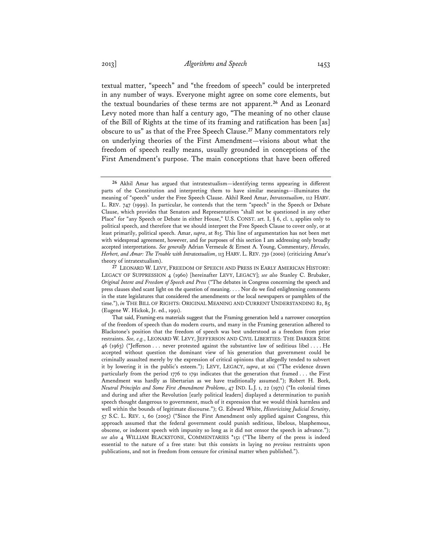textual matter, "speech" and "the freedom of speech" could be interpreted in any number of ways. Everyone might agree on some core elements, but the textual boundaries of these terms are not apparent.**<sup>26</sup>** And as Leonard Levy noted more than half a century ago, "The meaning of no other clause of the Bill of Rights at the time of its framing and ratification has been [as] obscure to us" as that of the Free Speech Clause.**<sup>27</sup>** Many commentators rely on underlying theories of the First Amendment—visions about what the freedom of speech really means, usually grounded in conceptions of the First Amendment's purpose. The main conceptions that have been offered

**<sup>26</sup>** Akhil Amar has argued that intratextualism—identifying terms appearing in different parts of the Constitution and interpreting them to have similar meanings—illuminates the meaning of "speech" under the Free Speech Clause. Akhil Reed Amar, *Intratextualism*, 112 HARV. L. REV. 747 (1999). In particular, he contends that the term "speech" in the Speech or Debate Clause, which provides that Senators and Representatives "shall not be questioned in any other Place" for "any Speech or Debate in either House," U.S. CONST. art. I, § 6, cl. 1, applies only to political speech, and therefore that we should interpret the Free Speech Clause to cover only, or at least primarily, political speech. Amar, *supra*, at 815. This line of argumentation has not been met with widespread agreement, however, and for purposes of this section I am addressing only broadly accepted interpretations. *See generally* Adrian Vermeule & Ernest A. Young, Commentary, *Hercules, Herbert, and Amar: The Trouble with Intratextualism*, 113 HARV. L. REV. 730 (2000) (criticizing Amar's theory of intratextualism).

**<sup>27</sup>** LEONARD W. LEVY, FREEDOM OF SPEECH AND PRESS IN EARLY AMERICAN HISTORY: LEGACY OF SUPPRESSION 4 (1960) [hereinafter LEVY, LEGACY]; *see also* Stanley C. Brubaker, *Original Intent and Freedom of Speech and Press* ("The debates in Congress concerning the speech and press clauses shed scant light on the question of meaning. . . . Nor do we find enlightening comments in the state legislatures that considered the amendments or the local newspapers or pamphlets of the time."), *in* THE BILL OF RIGHTS: ORIGINAL MEANING AND CURRENT UNDERSTANDING 82, 85 (Eugene W. Hickok, Jr. ed., 1991).

That said, Framing-era materials suggest that the Framing generation held a narrower conception of the freedom of speech than do modern courts, and many in the Framing generation adhered to Blackstone's position that the freedom of speech was best understood as a freedom from prior restraints. *See, e.g.*, LEONARD W. LEVY, JEFFERSON AND CIVIL LIBERTIES: THE DARKER SIDE 46 (1963) ("Jefferson . . . never protested against the substantive law of seditious libel . . . . He accepted without question the dominant view of his generation that government could be criminally assaulted merely by the expression of critical opinions that allegedly tended to subvert it by lowering it in the public's esteem."); LEVY, LEGACY, *supra*, at xxi ("The evidence drawn particularly from the period 1776 to 1791 indicates that the generation that framed . . . the First Amendment was hardly as libertarian as we have traditionally assumed."); Robert H. Bork, *Neutral Principles and Some First Amendment Problems*, 47 IND. L.J. 1, 22 (1971) ("In colonial times and during and after the Revolution [early political leaders] displayed a determination to punish speech thought dangerous to government, much of it expression that we would think harmless and well within the bounds of legitimate discourse."); G. Edward White, *Historicizing Judicial Scrutiny*, 57 S.C. L. REV. 1, 60 (2005) ("Since the First Amendment only applied against Congress, this approach assumed that the federal government could punish seditious, libelous, blasphemous, obscene, or indecent speech with impunity so long as it did not censor the speech in advance."); *see also* 4 WILLIAM BLACKSTONE, COMMENTARIES \*151 ("The liberty of the press is indeed essential to the nature of a free state: but this consists in laying no *previous* restraints upon publications, and not in freedom from censure for criminal matter when published.").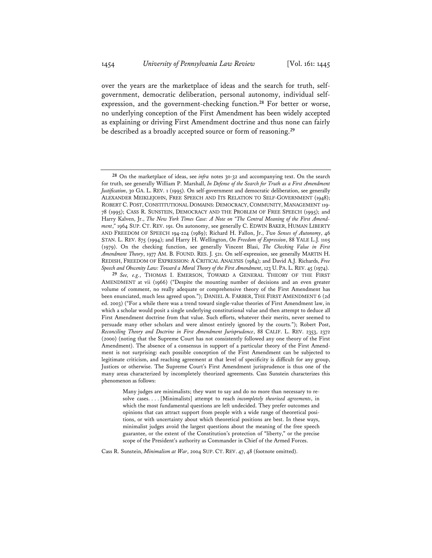over the years are the marketplace of ideas and the search for truth, selfgovernment, democratic deliberation, personal autonomy, individual selfexpression, and the government-checking function.**<sup>28</sup>** For better or worse, no underlying conception of the First Amendment has been widely accepted as explaining or driving First Amendment doctrine and thus none can fairly be described as a broadly accepted source or form of reasoning.**<sup>29</sup>**

Many judges are minimalists; they want to say and do no more than necessary to resolve cases. . . . [Minimalists] attempt to reach *incompletely theorized agreements*, in which the most fundamental questions are left undecided. They prefer outcomes and opinions that can attract support from people with a wide range of theoretical positions, or with uncertainty about which theoretical positions are best. In these ways, minimalist judges avoid the largest questions about the meaning of the free speech guarantee, or the extent of the Constitution's protection of "liberty," or the precise scope of the President's authority as Commander in Chief of the Armed Forces.

Cass R. Sunstein, *Minimalism at War*, 2004 SUP. CT. REV. 47, 48 (footnote omitted).

**<sup>28</sup>** On the marketplace of ideas, see *infra* notes 30-32 and accompanying text. On the search for truth, see generally William P. Marshall, *In Defense of the Search for Truth as a First Amendment Justification*, 30 GA. L. REV. 1 (1995). On self-government and democratic deliberation, see generally ALEXANDER MEIKLEJOHN, FREE SPEECH AND ITS RELATION TO SELF-GOVERNMENT (1948); ROBERT C. POST, CONSTITUTIONAL DOMAINS: DEMOCRACY, COMMUNITY, MANAGEMENT 119- 78 (1995); CASS R. SUNSTEIN, DEMOCRACY AND THE PROBLEM OF FREE SPEECH (1995); and Harry Kalven, Jr., *The New York Times Case: A Note on "The Central Meaning of the First Amendment*,*"* 1964 SUP. CT. REV. 191. On autonomy, see generally C. EDWIN BAKER, HUMAN LIBERTY AND FREEDOM OF SPEECH 194-224 (1989); Richard H. Fallon, Jr., *Two Senses of Autonomy*, 46 STAN. L. REV. 875 (1994); and Harry H. Wellington, *On Freedom of Expression*, 88 YALE L.J. 1105 (1979). On the checking function, see generally Vincent Blasi, *The Checking Value in First Amendment Theory*, 1977 AM. B. FOUND. RES. J. 521. On self-expression, see generally MARTIN H. REDISH, FREEDOM OF EXPRESSION: A CRITICAL ANALYSIS (1984); and David A.J. Richards, *Free Speech and Obscenity Law: Toward a Moral Theory of the First Amendment*, 123 U. PA. L. REV. 45 (1974).

**<sup>29</sup>** *See, e.g.*, THOMAS I. EMERSON, TOWARD A GENERAL THEORY OF THE FIRST AMENDMENT at vii (1966) ("Despite the mounting number of decisions and an even greater volume of comment, no really adequate or comprehensive theory of the First Amendment has been enunciated, much less agreed upon."); DANIEL A. FARBER, THE FIRST AMENDMENT 6 (2d ed. 2003) ("For a while there was a trend toward single-value theories of First Amendment law, in which a scholar would posit a single underlying constitutional value and then attempt to deduce all First Amendment doctrine from that value. Such efforts, whatever their merits, never seemed to persuade many other scholars and were almost entirely ignored by the courts."); Robert Post, *Reconciling Theory and Doctrine in First Amendment Jurisprudence*, 88 CALIF. L. REV. 2353, 2372 (2000) (noting that the Supreme Court has not consistently followed any one theory of the First Amendment). The absence of a consensus in support of a particular theory of the First Amendment is not surprising: each possible conception of the First Amendment can be subjected to legitimate criticism, and reaching agreement at that level of specificity is difficult for any group, Justices or otherwise. The Supreme Court's First Amendment jurisprudence is thus one of the many areas characterized by incompletely theorized agreements. Cass Sunstein characterizes this phenomenon as follows: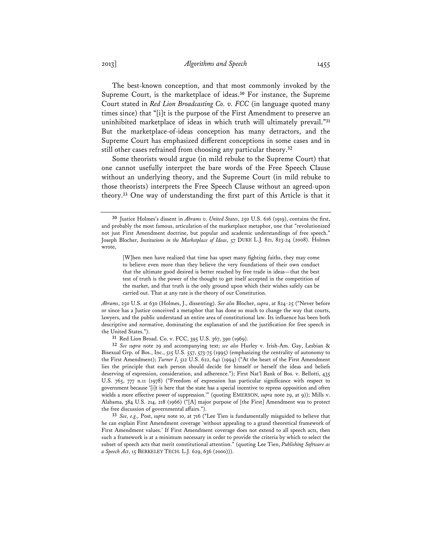The best-known conception, and that most commonly invoked by the Supreme Court, is the marketplace of ideas.**<sup>30</sup>** For instance, the Supreme Court stated in *Red Lion Broadcasting Co. v. FCC* (in language quoted many times since) that "[i]t is the purpose of the First Amendment to preserve an uninhibited marketplace of ideas in which truth will ultimately prevail."**<sup>31</sup>** But the marketplace-of-ideas conception has many detractors, and the Supreme Court has emphasized different conceptions in some cases and in still other cases refrained from choosing any particular theory.**<sup>32</sup>**

Some theorists would argue (in mild rebuke to the Supreme Court) that one cannot usefully interpret the bare words of the Free Speech Clause without an underlying theory, and the Supreme Court (in mild rebuke to those theorists) interprets the Free Speech Clause without an agreed-upon theory.**<sup>33</sup>** One way of understanding the first part of this Article is that it

*Abrams*, 250 U.S. at 630 (Holmes, J., dissenting). *See also* Blocher, *supra*, at 824-25 ("Never before or since has a Justice conceived a metaphor that has done so much to change the way that courts, lawyers, and the public understand an entire area of constitutional law. Its influence has been both descriptive and normative, dominating the explanation of and the justification for free speech in the United States.").

**32** *See supra* note 29 and accompanying text; *see also* Hurley v. Irish-Am. Gay, Lesbian & Bisexual Grp. of Bos., Inc., 515 U.S. 557, 573-75 (1995) (emphasizing the centrality of autonomy to the First Amendment); *Turner I*, 512 U.S. 622, 641 (1994) ("At the heart of the First Amendment lies the principle that each person should decide for himself or herself the ideas and beliefs deserving of expression, consideration, and adherence."); First Nat'l Bank of Bos. v. Bellotti, 435 U.S. 765, 777 n.11 (1978) ("Freedom of expression has particular significance with respect to government because '[i]t is here that the state has a special incentive to repress opposition and often wields a more effective power of suppression.'" (quoting EMERSON, *supra* note 29, at 9)); Mills v. Alabama, 384 U.S. 214, 218 (1966) ("[A] major purpose of [the First] Amendment was to protect the free discussion of governmental affairs.").

**33** *See, e.g.,* Post, *supra* note 10, at 716 ("Lee Tien is fundamentally misguided to believe that he can explain First Amendment coverage 'without appealing to a grand theoretical framework of First Amendment values.' If First Amendment coverage does not extend to all speech acts, then such a framework is at a minimum necessary in order to provide the criteria by which to select the subset of speech acts that merit constitutional attention." (quoting Lee Tien, *Publishing Software as a Speech Act*, 15 BERKELEY TECH. L.J. 629, 636 (2000))).

**<sup>30</sup>** Justice Holmes's dissent in *Abrams v. United States*, 250 U.S. 616 (1919), contains the first, and probably the most famous, articulation of the marketplace metaphor, one that "revolutionized not just First Amendment doctrine, but popular and academic understandings of free speech." Joseph Blocher, *Institutions in the Marketplace of Ideas*, 57 DUKE L.J. 821, 823-24 (2008). Holmes wrote,

<sup>[</sup>W]hen men have realized that time has upset many fighting faiths, they may come to believe even more than they believe the very foundations of their own conduct that the ultimate good desired is better reached by free trade in ideas—that the best test of truth is the power of the thought to get itself accepted in the competition of the market, and that truth is the only ground upon which their wishes safely can be carried out. That at any rate is the theory of our Constitution.

**<sup>31</sup>** Red Lion Broad. Co. v. FCC, 395 U.S. 367, 390 (1969).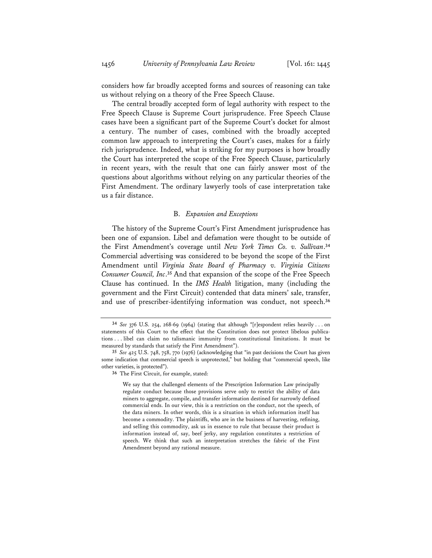considers how far broadly accepted forms and sources of reasoning can take us without relying on a theory of the Free Speech Clause.

The central broadly accepted form of legal authority with respect to the Free Speech Clause is Supreme Court jurisprudence. Free Speech Clause cases have been a significant part of the Supreme Court's docket for almost a century. The number of cases, combined with the broadly accepted common law approach to interpreting the Court's cases, makes for a fairly rich jurisprudence. Indeed, what is striking for my purposes is how broadly the Court has interpreted the scope of the Free Speech Clause, particularly in recent years, with the result that one can fairly answer most of the questions about algorithms without relying on any particular theories of the First Amendment. The ordinary lawyerly tools of case interpretation take us a fair distance.

### B. *Expansion and Exceptions*

The history of the Supreme Court's First Amendment jurisprudence has been one of expansion. Libel and defamation were thought to be outside of the First Amendment's coverage until *New York Times Co. v. Sullivan*. **34** Commercial advertising was considered to be beyond the scope of the First Amendment until *Virginia State Board of Pharmacy v. Virginia Citizens Consumer Council, Inc*. **<sup>35</sup>** And that expansion of the scope of the Free Speech Clause has continued. In the *IMS Health* litigation, many (including the government and the First Circuit) contended that data miners' sale, transfer, and use of prescriber-identifying information was conduct, not speech.**<sup>36</sup>**

**<sup>34</sup>** *See* 376 U.S. 254, 268-69 (1964) (stating that although "[r]espondent relies heavily . . . on statements of this Court to the effect that the Constitution does not protect libelous publications . . . libel can claim no talismanic immunity from constitutional limitations. It must be measured by standards that satisfy the First Amendment").

**<sup>35</sup>** *See* 425 U.S. 748, 758, 770 (1976) (acknowledging that "in past decisions the Court has given some indication that commercial speech is unprotected," but holding that "commercial speech, like other varieties, is protected").

**<sup>36</sup>** The First Circuit, for example, stated:

We say that the challenged elements of the Prescription Information Law principally regulate conduct because those provisions serve only to restrict the ability of data miners to aggregate, compile, and transfer information destined for narrowly defined commercial ends. In our view, this is a restriction on the conduct, not the speech, of the data miners. In other words, this is a situation in which information itself has become a commodity. The plaintiffs, who are in the business of harvesting, refining, and selling this commodity, ask us in essence to rule that because their product is information instead of, say, beef jerky, any regulation constitutes a restriction of speech. We think that such an interpretation stretches the fabric of the First Amendment beyond any rational measure.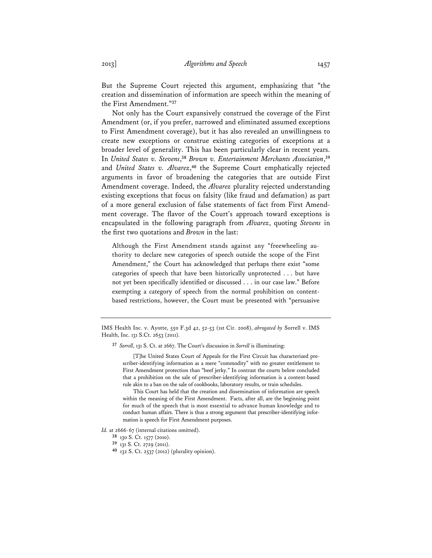But the Supreme Court rejected this argument, emphasizing that "the creation and dissemination of information are speech within the meaning of the First Amendment."**<sup>37</sup>**

Not only has the Court expansively construed the coverage of the First Amendment (or, if you prefer, narrowed and eliminated assumed exceptions to First Amendment coverage), but it has also revealed an unwillingness to create new exceptions or construe existing categories of exceptions at a broader level of generality. This has been particularly clear in recent years. In *United States v. Stevens*, **<sup>38</sup>** *Brown v. Entertainment Merchants Association*, **39** and *United States v. Alvarez*, **<sup>40</sup>** the Supreme Court emphatically rejected arguments in favor of broadening the categories that are outside First Amendment coverage. Indeed, the *Alvarez* plurality rejected understanding existing exceptions that focus on falsity (like fraud and defamation) as part of a more general exclusion of false statements of fact from First Amendment coverage. The flavor of the Court's approach toward exceptions is encapsulated in the following paragraph from *Alvarez*, quoting *Stevens* in the first two quotations and *Brown* in the last:

Although the First Amendment stands against any "freewheeling authority to declare new categories of speech outside the scope of the First Amendment," the Court has acknowledged that perhaps there exist "some categories of speech that have been historically unprotected . . . but have not yet been specifically identified or discussed . . . in our case law." Before exempting a category of speech from the normal prohibition on contentbased restrictions, however, the Court must be presented with "persuasive

[T]he United States Court of Appeals for the First Circuit has characterized prescriber-identifying information as a mere "commodity" with no greater entitlement to First Amendment protection than "beef jerky." In contrast the courts below concluded that a prohibition on the sale of prescriber-identifying information is a content-based rule akin to a ban on the sale of cookbooks, laboratory results, or train schedules.

This Court has held that the creation and dissemination of information are speech within the meaning of the First Amendment. Facts, after all, are the beginning point for much of the speech that is most essential to advance human knowledge and to conduct human affairs. There is thus a strong argument that prescriber-identifying information is speech for First Amendment purposes.

*Id.* at 2666-67 (internal citations omitted).

IMS Health Inc. v. Ayotte, 550 F.3d 42, 52-53 (1st Cir. 2008), *abrogated by* Sorrell v. IMS Health, Inc. 131 S.Ct. 2653 (2011).

**<sup>37</sup>** *Sorrell*, 131 S. Ct. at 2667. The Court's discussion in *Sorrell* is illuminating:

**<sup>38</sup>** 130 S. Ct. 1577 (2010).

**<sup>39</sup>** 131 S. Ct. 2729 (2011).

**<sup>40</sup>** 132 S. Ct. 2537 (2012) (plurality opinion).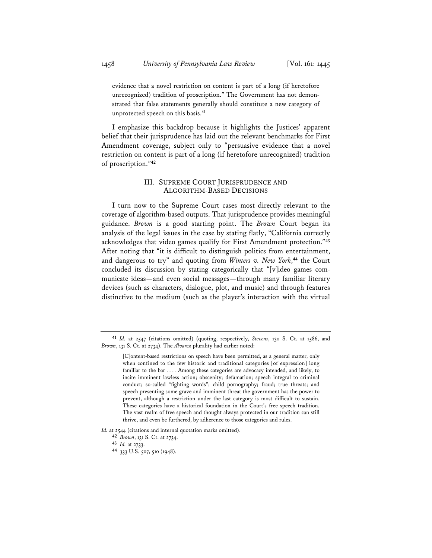evidence that a novel restriction on content is part of a long (if heretofore unrecognized) tradition of proscription." The Government has not demonstrated that false statements generally should constitute a new category of unprotected speech on this basis.**<sup>41</sup>**

I emphasize this backdrop because it highlights the Justices' apparent belief that their jurisprudence has laid out the relevant benchmarks for First Amendment coverage, subject only to "persuasive evidence that a novel restriction on content is part of a long (if heretofore unrecognized) tradition of proscription."**<sup>42</sup>**

### III. SUPREME COURT JURISPRUDENCE AND ALGORITHM-BASED DECISIONS

I turn now to the Supreme Court cases most directly relevant to the coverage of algorithm-based outputs. That jurisprudence provides meaningful guidance. *Brown* is a good starting point. The *Brown* Court began its analysis of the legal issues in the case by stating flatly, "California correctly acknowledges that video games qualify for First Amendment protection."**<sup>43</sup>** After noting that "it is difficult to distinguish politics from entertainment, and dangerous to try" and quoting from *Winters v. New York*, **<sup>44</sup>** the Court concluded its discussion by stating categorically that "[v]ideo games communicate ideas—and even social messages—through many familiar literary devices (such as characters, dialogue, plot, and music) and through features distinctive to the medium (such as the player's interaction with the virtual

*Id.* at 2544 (citations and internal quotation marks omitted).

**<sup>41</sup>** *Id.* at 2547 (citations omitted) (quoting, respectively, *Stevens*, 130 S. Ct. at 1586, and *Brown*, 131 S. Ct. at 2734). The *Alvarez* plurality had earlier noted:

<sup>[</sup>C]ontent-based restrictions on speech have been permitted, as a general matter, only when confined to the few historic and traditional categories [of expression] long familiar to the bar . . . . Among these categories are advocacy intended, and likely, to incite imminent lawless action; obscenity; defamation; speech integral to criminal conduct; so-called "fighting words"; child pornography; fraud; true threats; and speech presenting some grave and imminent threat the government has the power to prevent, although a restriction under the last category is most difficult to sustain. These categories have a historical foundation in the Court's free speech tradition. The vast realm of free speech and thought always protected in our tradition can still thrive, and even be furthered, by adherence to those categories and rules.

**<sup>42</sup>** *Brown*, 131 S. Ct. at 2734.

**<sup>43</sup>** *Id.* at 2733.

**<sup>44</sup>** 333 U.S. 507, 510 (1948).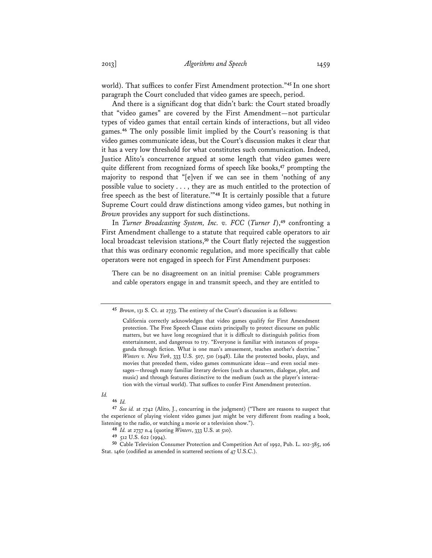world). That suffices to confer First Amendment protection."**<sup>45</sup>** In one short paragraph the Court concluded that video games are speech, period.

And there is a significant dog that didn't bark: the Court stated broadly that "video games" are covered by the First Amendment—not particular types of video games that entail certain kinds of interactions, but all video games.**<sup>46</sup>** The only possible limit implied by the Court's reasoning is that video games communicate ideas, but the Court's discussion makes it clear that it has a very low threshold for what constitutes such communication. Indeed, Justice Alito's concurrence argued at some length that video games were quite different from recognized forms of speech like books,**<sup>47</sup>** prompting the majority to respond that "[e]ven if we can see in them 'nothing of any possible value to society . . . , they are as much entitled to the protection of free speech as the best of literature.'"**<sup>48</sup>** It is certainly possible that a future Supreme Court could draw distinctions among video games, but nothing in *Brown* provides any support for such distinctions.

In *Turner Broadcasting System, Inc. v. FCC* (*Turner I*),**<sup>49</sup>** confronting a First Amendment challenge to a statute that required cable operators to air local broadcast television stations,**<sup>50</sup>** the Court flatly rejected the suggestion that this was ordinary economic regulation, and more specifically that cable operators were not engaged in speech for First Amendment purposes:

There can be no disagreement on an initial premise: Cable programmers and cable operators engage in and transmit speech, and they are entitled to

**50** Cable Television Consumer Protection and Competition Act of 1992, Pub. L. 102-385, 106 Stat. 1460 (codified as amended in scattered sections of 47 U.S.C.).

**<sup>45</sup>** *Brown*, 131 S. Ct. at 2733. The entirety of the Court's discussion is as follows:

California correctly acknowledges that video games qualify for First Amendment protection. The Free Speech Clause exists principally to protect discourse on public matters, but we have long recognized that it is difficult to distinguish politics from entertainment, and dangerous to try. "Everyone is familiar with instances of propaganda through fiction. What is one man's amusement, teaches another's doctrine." *Winters v. New York*, 333 U.S. 507, 510 (1948). Like the protected books, plays, and movies that preceded them, video games communicate ideas—and even social messages—through many familiar literary devices (such as characters, dialogue, plot, and music) and through features distinctive to the medium (such as the player's interaction with the virtual world). That suffices to confer First Amendment protection.

*Id.* 

**<sup>46</sup>** *Id.*

**<sup>47</sup>** *See id.* at 2742 (Alito, J., concurring in the judgment) ("There are reasons to suspect that the experience of playing violent video games just might be very different from reading a book, listening to the radio, or watching a movie or a television show.").

**<sup>48</sup>** *Id.* at 2737 n.4 (quoting *Winters*, 333 U.S. at 510).

**<sup>49</sup>** 512 U.S. 622 (1994).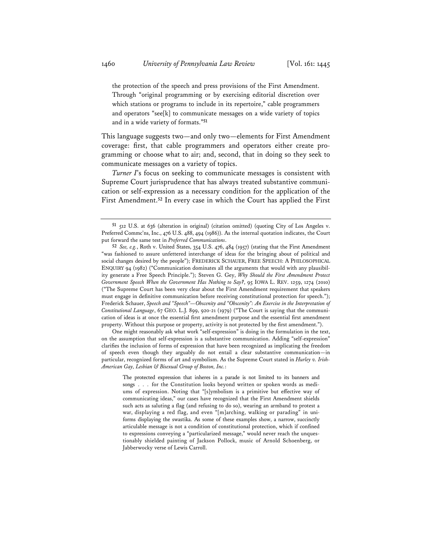the protection of the speech and press provisions of the First Amendment. Through "original programming or by exercising editorial discretion over which stations or programs to include in its repertoire," cable programmers and operators "see[k] to communicate messages on a wide variety of topics and in a wide variety of formats."**<sup>51</sup>**

This language suggests two—and only two—elements for First Amendment coverage: first, that cable programmers and operators either create programming or choose what to air; and, second, that in doing so they seek to communicate messages on a variety of topics.

*Turner I*'s focus on seeking to communicate messages is consistent with Supreme Court jurisprudence that has always treated substantive communication or self-expression as a necessary condition for the application of the First Amendment.**<sup>52</sup>** In every case in which the Court has applied the First

One might reasonably ask what work "self-expression" is doing in the formulation in the text, on the assumption that self-expression is a substantive communication. Adding "self-expression" clarifies the inclusion of forms of expression that have been recognized as implicating the freedom of speech even though they arguably do not entail a clear substantive communication—in particular, recognized forms of art and symbolism. As the Supreme Court stated in *Hurley v. Irish-American Gay, Lesbian & Bisexual Group of Boston, Inc.*:

**<sup>51</sup>** 512 U.S. at 636 (alteration in original) (citation omitted) (quoting City of Los Angeles v. Preferred Commc'ns, Inc., 476 U.S. 488, 494 (1986)). As the internal quotation indicates, the Court put forward the same test in *Preferred Communications*.

**<sup>52</sup>** *See, e.g.*, Roth v. United States, 354 U.S. 476, 484 (1957) (stating that the First Amendment "was fashioned to assure unfettered interchange of ideas for the bringing about of political and social changes desired by the people"); FREDERICK SCHAUER, FREE SPEECH: A PHILOSOPHICAL ENQUIRY 94 (1982) ("Communication dominates all the arguments that would with any plausibility generate a Free Speech Principle."); Steven G. Gey, *Why Should the First Amendment Protect Government Speech When the Government Has Nothing to Say?*, 95 IOWA L. REV. 1259, 1274 (2010) ("The Supreme Court has been very clear about the First Amendment requirement that speakers must engage in definitive communication before receiving constitutional protection for speech."); Frederick Schauer, *Speech and "Speech"—Obscenity and "Obscenity": An Exercise in the Interpretation of Constitutional Language*, 67 GEO. L.J. 899, 920-21 (1979) ("The Court is saying that the communication of ideas is at once the essential first amendment purpose and the essential first amendment property. Without this purpose or property, activity is not protected by the first amendment.").

The protected expression that inheres in a parade is not limited to its banners and songs . . . for the Constitution looks beyond written or spoken words as mediums of expression. Noting that "[s]ymbolism is a primitive but effective way of communicating ideas," our cases have recognized that the First Amendment shields such acts as saluting a flag (and refusing to do so), wearing an armband to protest a war, displaying a red flag, and even "[m]arching, walking or parading" in uniforms displaying the swastika. As some of these examples show, a narrow, succinctly articulable message is not a condition of constitutional protection, which if confined to expressions conveying a "particularized message," would never reach the unquestionably shielded painting of Jackson Pollock, music of Arnold Schoenberg, or Jabberwocky verse of Lewis Carroll.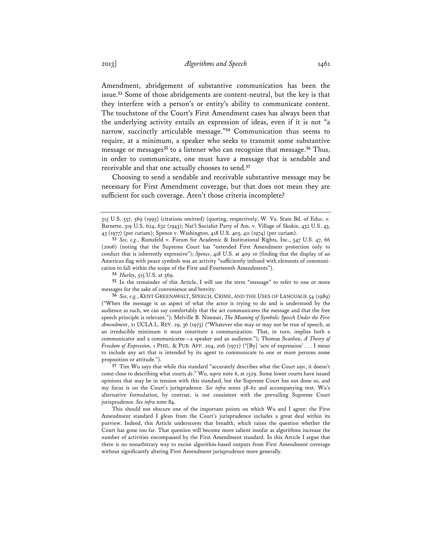Amendment, abridgement of substantive communication has been the issue.**<sup>53</sup>** Some of those abridgements are content-neutral, but the key is that they interfere with a person's or entity's ability to communicate content. The touchstone of the Court's First Amendment cases has always been that the underlying activity entails an expression of ideas, even if it is not "a narrow, succinctly articulable message."**<sup>54</sup>** Communication thus seems to require, at a minimum, a speaker who seeks to transmit some substantive message or messages**<sup>55</sup>** to a listener who can recognize that message.**<sup>56</sup>** Thus, in order to communicate, one must have a message that is sendable and receivable and that one actually chooses to send.**<sup>57</sup>**

Choosing to send a sendable and receivable substantive message may be necessary for First Amendment coverage, but that does not mean they are sufficient for such coverage. Aren't those criteria incomplete?

**54** *Hurley*, 515 U.S. at 569.

**57** Tim Wu says that while this standard "accurately describes what the Court *says*, it doesn't come close to describing what courts *do*." Wu, *supra* note 6, at 1529. Some lower courts have issued opinions that may be in tension with this standard, but the Supreme Court has not done so, and my focus is on the Court's jurisprudence. *See infra* notes 58-62 and accompanying text. Wu's alternative formulation, by contrast, is not consistent with the prevailing Supreme Court jurisprudence. *See infra* note 84.

This should not obscure one of the important points on which Wu and I agree: the First Amendment standard I glean from the Court's jurisprudence includes a great deal within its purview. Indeed, this Article underscores that breadth, which raises the question whether the Court has gone too far. That question will become more salient insofar as algorithms increase the number of activities encompassed by the First Amendment standard. In this Article I argue that there is no nonarbitrary way to excise algorithm-based outputs from First Amendment coverage without significantly altering First Amendment jurisprudence more generally.

<sup>515</sup> U.S. 557, 569 (1995) (citations omitted) (quoting, respectively, W. Va. State Bd. of Educ. v. Barnette, 319 U.S. 624, 632 (1943); Nat'l Socialist Party of Am. v. Village of Skokie, 432 U.S. 43, 43 (1977) (per curiam); Spence v. Washington, 418 U.S. 405, 411 (1974) (per curiam).

**<sup>53</sup>** *See, e.g.*, Rumsfeld v. Forum for Academic & Institutional Rights, Inc., 547 U.S. 47, 66 (2006) (noting that the Supreme Court has "extended First Amendment protection only to conduct that is inherently expressive"); *Spence*, 418 U.S. at 409-10 (finding that the display of an American flag with peace symbols was an activity "sufficiently imbued with elements of communication to fall within the scope of the First and Fourteenth Amendments").

**<sup>55</sup>** In the remainder of this Article, I will use the term "message" to refer to one or more messages for the sake of convenience and brevity.

**<sup>56</sup>** *See, e.g.*, KENT GREENAWALT, SPEECH, CRIME, AND THE USES OF LANGUAGE 54 (1989) ("When the message is an aspect of what the actor is trying to do and is understood by the audience as such, we can say comfortably that the act communicates the message and that the free speech principle is relevant."); Melville B. Nimmer, *The Meaning of Symbolic Speech Under the First Amendment*, 21 UCLA L. REV. 29, 36 (1973) ("Whatever else may or may not be true of speech, as an irreducible minimum it must constitute a communication. That, in turn, implies both a communicator and a communicatee—a speaker and an audience."); Thomas Scanlon, *A Theory of Freedom of Expression*, 1 PHIL. & PUB. AFF. 204, 206 (1972) ("[By] 'acts of expression' . . . I mean to include any act that is intended by its agent to communicate to one or more persons some proposition or attitude.").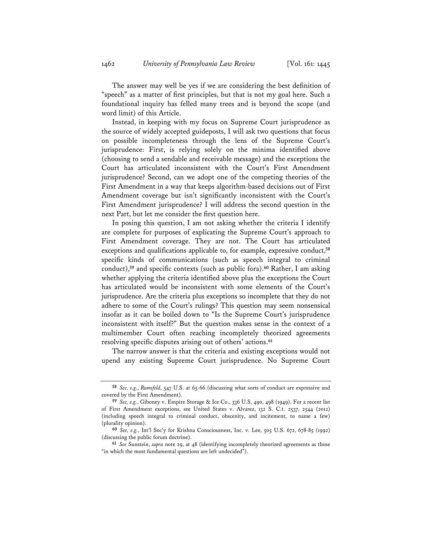The answer may well be yes if we are considering the best definition of "speech" as a matter of first principles, but that is not my goal here. Such a foundational inquiry has felled many trees and is beyond the scope (and word limit) of this Article.

Instead, in keeping with my focus on Supreme Court jurisprudence as the source of widely accepted guideposts, I will ask two questions that focus on possible incompleteness through the lens of the Supreme Court's jurisprudence: First, is relying solely on the minima identified above (choosing to send a sendable and receivable message) and the exceptions the Court has articulated inconsistent with the Court's First Amendment jurisprudence? Second, can we adopt one of the competing theories of the First Amendment in a way that keeps algorithm-based decisions out of First Amendment coverage but isn't significantly inconsistent with the Court's First Amendment jurisprudence? I will address the second question in the next Part, but let me consider the first question here.

In posing this question, I am not asking whether the criteria I identify are complete for purposes of explicating the Supreme Court's approach to First Amendment coverage. They are not. The Court has articulated exceptions and qualifications applicable to, for example, expressive conduct,**<sup>58</sup>** specific kinds of communications (such as speech integral to criminal conduct),**<sup>59</sup>** and specific contexts (such as public fora).**<sup>60</sup>** Rather, I am asking whether applying the criteria identified above plus the exceptions the Court has articulated would be inconsistent with some elements of the Court's jurisprudence. Are the criteria plus exceptions so incomplete that they do not adhere to some of the Court's rulings? This question may seem nonsensical insofar as it can be boiled down to "Is the Supreme Court's jurisprudence inconsistent with itself?" But the question makes sense in the context of a multimember Court often reaching incompletely theorized agreements resolving specific disputes arising out of others' actions.**<sup>61</sup>**

The narrow answer is that the criteria and existing exceptions would not upend any existing Supreme Court jurisprudence. No Supreme Court

**<sup>58</sup>** *See, e.g.*, *Rumsfeld*, 547 U.S. at 65-66 (discussing what sorts of conduct are expressive and covered by the First Amendment).

**<sup>59</sup>** *See, e.g.*, Giboney v. Empire Storage & Ice Co., 336 U.S. 490, 498 (1949). For a recent list of First Amendment exceptions, see United States v. Alvarez, 132 S. C.t. 2537, 2544 (2012) (including speech integral to criminal conduct, obscenity, and incitement, to name a few) (plurality opinion).

**<sup>60</sup>** *See, e.g.*, Int'l Soc'y for Krishna Consciousness, Inc. v. Lee, 505 U.S. 672, 678-85 (1992) (discussing the public forum doctrine).

**<sup>61</sup>** *See* Sunstein, *supra* note 29, at 48 (identifying incompletely theorized agreements as those "in which the most fundamental questions are left undecided").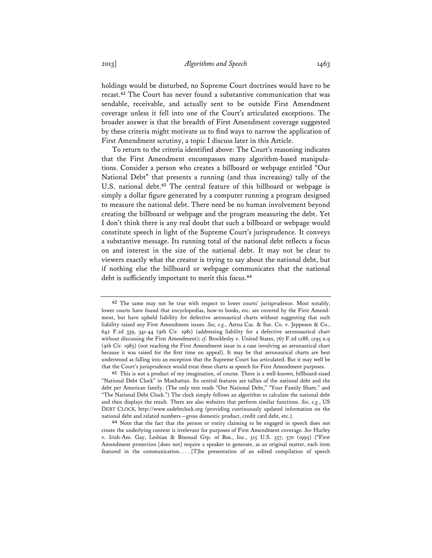holdings would be disturbed, no Supreme Court doctrines would have to be recast.**<sup>62</sup>** The Court has never found a substantive communication that was sendable, receivable, and actually sent to be outside First Amendment coverage unless it fell into one of the Court's articulated exceptions. The broader answer is that the breadth of First Amendment coverage suggested by these criteria might motivate us to find ways to narrow the application of First Amendment scrutiny, a topic I discuss later in this Article.

To return to the criteria identified above: The Court's reasoning indicates that the First Amendment encompasses many algorithm-based manipulations. Consider a person who creates a billboard or webpage entitled "Our National Debt" that presents a running (and thus increasing) tally of the U.S. national debt.**<sup>63</sup>** The central feature of this billboard or webpage is simply a dollar figure generated by a computer running a program designed to measure the national debt. There need be no human involvement beyond creating the billboard or webpage and the program measuring the debt. Yet I don't think there is any real doubt that such a billboard or webpage would constitute speech in light of the Supreme Court's jurisprudence. It conveys a substantive message. Its running total of the national debt reflects a focus on and interest in the size of the national debt. It may not be clear to viewers exactly what the creator is trying to say about the national debt, but if nothing else the billboard or webpage communicates that the national debt is sufficiently important to merit this focus.**<sup>64</sup>**

**<sup>62</sup>** The same may not be true with respect to lower courts' jurisprudence. Most notably, lower courts have found that encyclopedias, how-to books, etc. are covered by the First Amendment, but have upheld liability for defective aeronautical charts without suggesting that such liability raised any First Amendment issues. *See, e.g.*, Aetna Cas. & Sur. Co. v. Jeppesen & Co., 642 F.2d 339, 341-44 (9th Cir. 1981) (addressing liability for a defective aeronoautical chart without discussing the First Amendment); *cf.* Brocklesby v. United States, 767 F.2d 1288, 1295 n.9 (9th Cir. 1985) (not reaching the First Amendment issue in a case involving an aeronautical chart because it was raised for the first time on appeal). It may be that aeronautical charts are best understood as falling into an exception that the Supreme Court has articulated. But it may well be that the Court's jurisprudence would treat these charts as speech for First Amendment purposes.

**<sup>63</sup>** This is not a product of my imagination, of course. There is a well-known, billboard-sized "National Debt Clock" in Manhattan. Its central features are tallies of the national debt and the debt per American family. (The only text reads "Our National Debt," "Your Family Share," and "The National Debt Clock.") The clock simply follows an algorithm to calculate the national debt and then displays the result. There are also websites that perform similar functions. *See, e.g.*, US DEBT CLOCK, http://www.usdebtclock.org (providing continuously updated information on the national debt and related numbers—gross domestic product, credit card debt, etc.).

**<sup>64</sup>** Note that the fact that the person or entity claiming to be engaged in speech does not create the underlying content is irrelevant for purposes of First Amendment coverage. *See* Hurley v. Irish-Am. Gay, Lesbian & Bisexual Grp. of Bos., Inc., 515 U.S. 557, 570 (1995) ("First Amendment protection [does not] require a speaker to generate, as an original matter, each item featured in the communication. . . . [T]he presentation of an edited compilation of speech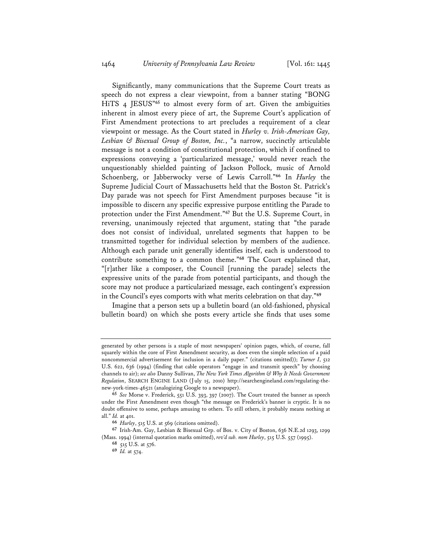Significantly, many communications that the Supreme Court treats as speech do not express a clear viewpoint, from a banner stating "BONG HiTS 4 JESUS"**<sup>65</sup>** to almost every form of art. Given the ambiguities inherent in almost every piece of art, the Supreme Court's application of First Amendment protections to art precludes a requirement of a clear viewpoint or message. As the Court stated in *Hurley v. Irish-American Gay, Lesbian & Bisexual Group of Boston, Inc.*, "a narrow, succinctly articulable message is not a condition of constitutional protection, which if confined to expressions conveying a 'particularized message,' would never reach the unquestionably shielded painting of Jackson Pollock, music of Arnold Schoenberg, or Jabberwocky verse of Lewis Carroll."**<sup>66</sup>** In *Hurley* the Supreme Judicial Court of Massachusetts held that the Boston St. Patrick's Day parade was not speech for First Amendment purposes because "it is impossible to discern any specific expressive purpose entitling the Parade to protection under the First Amendment."**<sup>67</sup>** But the U.S. Supreme Court, in reversing, unanimously rejected that argument, stating that "the parade does not consist of individual, unrelated segments that happen to be transmitted together for individual selection by members of the audience. Although each parade unit generally identifies itself, each is understood to contribute something to a common theme."**<sup>68</sup>** The Court explained that, "[r]ather like a composer, the Council [running the parade] selects the expressive units of the parade from potential participants, and though the score may not produce a particularized message, each contingent's expression in the Council's eyes comports with what merits celebration on that day."**<sup>69</sup>**

Imagine that a person sets up a bulletin board (an old-fashioned, physical bulletin board) on which she posts every article she finds that uses some

generated by other persons is a staple of most newspapers' opinion pages, which, of course, fall squarely within the core of First Amendment security, as does even the simple selection of a paid noncommercial advertisement for inclusion in a daily paper." (citations omitted)); *Turner I*, 512 U.S. 622, 636 (1994) (finding that cable operators "engage in and transmit speech" by choosing channels to air); *see also* Danny Sullivan, *The New York Times Algorithm & Why It Needs Government Regulation*, SEARCH ENGINE LAND (July 15, 2010) http://searchengineland.com/regulating-thenew-york-times-46521 (analogizing Google to a newspaper).

**<sup>65</sup>** *See* Morse v. Frederick, 551 U.S. 393, 397 (2007). The Court treated the banner as speech under the First Amendment even though "the message on Frederick's banner is cryptic. It is no doubt offensive to some, perhaps amusing to others. To still others, it probably means nothing at all." *Id.* at 401.

**<sup>66</sup>** *Hurley*, 515 U.S. at 569 (citations omitted).

**<sup>67</sup>** Irish-Am. Gay, Lesbian & Bisexual Grp. of Bos. v. City of Boston, 636 N.E.2d 1293, 1299 (Mass. 1994) (internal quotation marks omitted), *rev'd sub. nom Hurley*, 515 U.S. 557 (1995).

**<sup>68</sup>** 515 U.S. at 576.

**<sup>69</sup>** *Id.* at 574.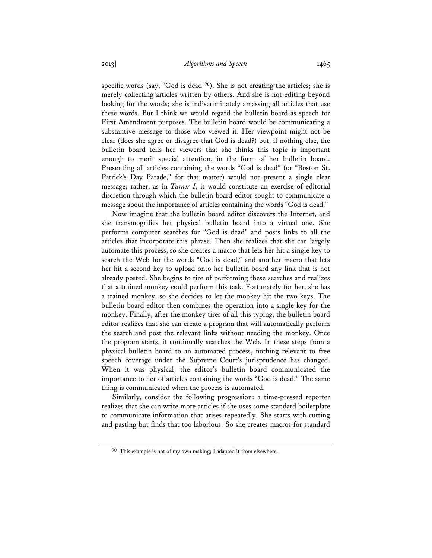specific words (say, "God is dead"**<sup>70</sup>**). She is not creating the articles; she is merely collecting articles written by others. And she is not editing beyond looking for the words; she is indiscriminately amassing all articles that use these words. But I think we would regard the bulletin board as speech for First Amendment purposes. The bulletin board would be communicating a substantive message to those who viewed it. Her viewpoint might not be clear (does she agree or disagree that God is dead?) but, if nothing else, the bulletin board tells her viewers that she thinks this topic is important enough to merit special attention, in the form of her bulletin board. Presenting all articles containing the words "God is dead" (or "Boston St. Patrick's Day Parade," for that matter) would not present a single clear message; rather, as in *Turner I*, it would constitute an exercise of editorial discretion through which the bulletin board editor sought to communicate a message about the importance of articles containing the words "God is dead."

Now imagine that the bulletin board editor discovers the Internet, and she transmogrifies her physical bulletin board into a virtual one. She performs computer searches for "God is dead" and posts links to all the articles that incorporate this phrase. Then she realizes that she can largely automate this process, so she creates a macro that lets her hit a single key to search the Web for the words "God is dead," and another macro that lets her hit a second key to upload onto her bulletin board any link that is not already posted. She begins to tire of performing these searches and realizes that a trained monkey could perform this task. Fortunately for her, she has a trained monkey, so she decides to let the monkey hit the two keys. The bulletin board editor then combines the operation into a single key for the monkey. Finally, after the monkey tires of all this typing, the bulletin board editor realizes that she can create a program that will automatically perform the search and post the relevant links without needing the monkey. Once the program starts, it continually searches the Web. In these steps from a physical bulletin board to an automated process, nothing relevant to free speech coverage under the Supreme Court's jurisprudence has changed. When it was physical, the editor's bulletin board communicated the importance to her of articles containing the words "God is dead." The same thing is communicated when the process is automated.

Similarly, consider the following progression: a time-pressed reporter realizes that she can write more articles if she uses some standard boilerplate to communicate information that arises repeatedly. She starts with cutting and pasting but finds that too laborious. So she creates macros for standard

**<sup>70</sup>** This example is not of my own making; I adapted it from elsewhere.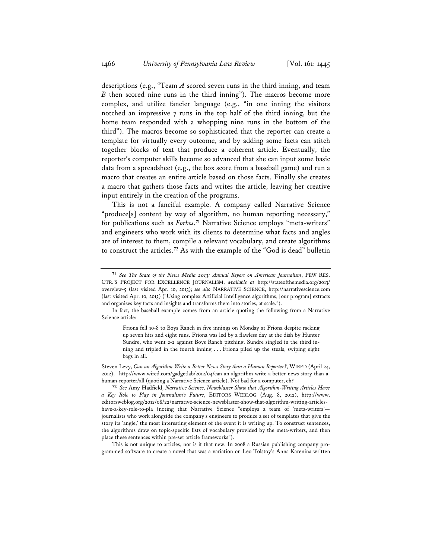descriptions (e.g., "Team *A* scored seven runs in the third inning, and team *B* then scored nine runs in the third inning"). The macros become more complex, and utilize fancier language (e.g., "in one inning the visitors notched an impressive 7 runs in the top half of the third inning, but the home team responded with a whopping nine runs in the bottom of the third"). The macros become so sophisticated that the reporter can create a template for virtually every outcome, and by adding some facts can stitch together blocks of text that produce a coherent article. Eventually, the reporter's computer skills become so advanced that she can input some basic data from a spreadsheet (e.g., the box score from a baseball game) and run a macro that creates an entire article based on those facts. Finally she creates a macro that gathers those facts and writes the article, leaving her creative input entirely in the creation of the programs.

This is not a fanciful example. A company called Narrative Science "produce[s] content by way of algorithm, no human reporting necessary," for publications such as *Forbes*. **<sup>71</sup>** Narrative Science employs "meta-writers" and engineers who work with its clients to determine what facts and angles are of interest to them, compile a relevant vocabulary, and create algorithms to construct the articles.**<sup>72</sup>** As with the example of the "God is dead" bulletin

This is not unique to articles, nor is it that new. In 2008 a Russian publishing company programmed software to create a novel that was a variation on Leo Tolstoy's Anna Karenina written

**<sup>71</sup>** *See The State of the News Media 2013: Annual Report on American Journalism*, PEW RES. CTR.'S PROJECT FOR EXCELLENCE JOURNALISM, *available at* http://stateofthemedia.org/2013/ overview-5 (last visited Apr. 10, 2013); *see also* NARRATIVE SCIENCE, http://narrativescience.com (last visited Apr. 10, 2013) ("Using complex Artificial Intelligence algorithms, [our program] extracts and organizes key facts and insights and transforms them into stories, at scale.").

In fact, the baseball example comes from an article quoting the following from a Narrative Science article:

Friona fell 10-8 to Boys Ranch in five innings on Monday at Friona despite racking up seven hits and eight runs. Friona was led by a flawless day at the dish by Hunter Sundre, who went 2-2 against Boys Ranch pitching. Sundre singled in the third inning and tripled in the fourth inning . . . Friona piled up the steals, swiping eight bags in all.

Steven Levy, *Can an Algorithm Write a Better News Story than a Human Reporter?*, WIRED (April 24, 2012), http://www.wired.com/gadgetlab/2012/04/can-an-algorithm-write-a-better-news-story-than-ahuman-reporter/all (quoting a Narrative Science article). Not bad for a computer, eh?

**<sup>72</sup>** *See* Amy Hadfield, *Narrative Science, Newsblaster Show that Algorithm-Writing Articles Have a Key Role to Play in Journalism's Future*, EDITORS WEBLOG (Aug. 8, 2012), http://www. editorsweblog.org/2012/08/22/narrative-science-newsblaster-show-that-algorithm-writing-articleshave-a-key-role-to-pla (noting that Narrative Science "employs a team of 'meta-writers' journalists who work alongside the company's engineers to produce a set of templates that give the story its 'angle,' the most interesting element of the event it is writing up. To construct sentences, the algorithms draw on topic-specific lists of vocabulary provided by the meta-writers, and then place these sentences within pre-set article frameworks").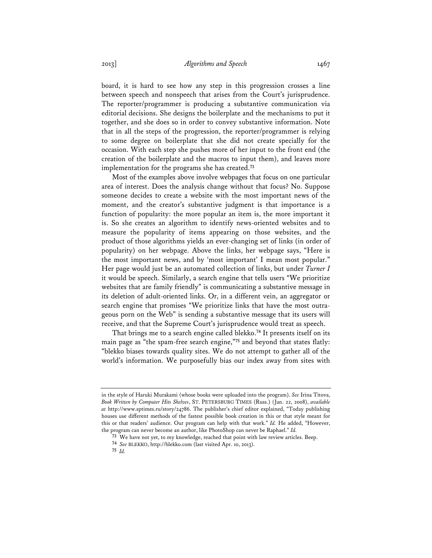board, it is hard to see how any step in this progression crosses a line between speech and nonspeech that arises from the Court's jurisprudence. The reporter/programmer is producing a substantive communication via editorial decisions. She designs the boilerplate and the mechanisms to put it together, and she does so in order to convey substantive information. Note that in all the steps of the progression, the reporter/programmer is relying to some degree on boilerplate that she did not create specially for the occasion. With each step she pushes more of her input to the front end (the creation of the boilerplate and the macros to input them), and leaves more implementation for the programs she has created.**<sup>73</sup>**

Most of the examples above involve webpages that focus on one particular area of interest. Does the analysis change without that focus? No. Suppose someone decides to create a website with the most important news of the moment, and the creator's substantive judgment is that importance is a function of popularity: the more popular an item is, the more important it is. So she creates an algorithm to identify news-oriented websites and to measure the popularity of items appearing on those websites, and the product of those algorithms yields an ever-changing set of links (in order of popularity) on her webpage. Above the links, her webpage says, "Here is the most important news, and by 'most important' I mean most popular." Her page would just be an automated collection of links, but under *Turner I* it would be speech. Similarly, a search engine that tells users "We prioritize websites that are family friendly" is communicating a substantive message in its deletion of adult-oriented links. Or, in a different vein, an aggregator or search engine that promises "We prioritize links that have the most outrageous porn on the Web" is sending a substantive message that its users will receive, and that the Supreme Court's jurisprudence would treat as speech.

That brings me to a search engine called blekko.**<sup>74</sup>** It presents itself on its main page as "the spam-free search engine,"**<sup>75</sup>** and beyond that states flatly: "blekko biases towards quality sites. We do not attempt to gather all of the world's information. We purposefully bias our index away from sites with

in the style of Haruki Murakami (whose books were uploaded into the program). *See* Irina Titova, *Book Written by Computer Hits Shelves*, ST. PETERSBURG TIMES (Russ.) (Jan. 22, 2008), *available at* http://www.sptimes.ru/story/24786. The publisher's chief editor explained, "Today publishing houses use different methods of the fastest possible book creation in this or that style meant for this or that readers' audience. Our program can help with that work." *Id.* He added, "However, the program can never become an author, like PhotoShop can never be Raphael." *Id.*

**<sup>73</sup>** We have not yet, to my knowledge, reached that point with law review articles. Beep.

**<sup>74</sup>** *See* BLEKKO, http://blekko.com (last visited Apr. 10, 2013).

**<sup>75</sup>** *Id.*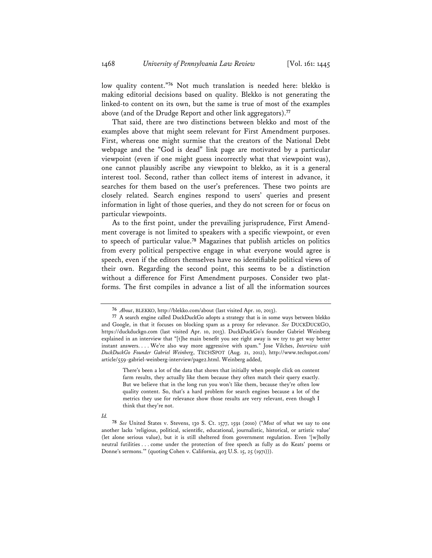low quality content."**<sup>76</sup>** Not much translation is needed here: blekko is making editorial decisions based on quality. Blekko is not generating the linked-to content on its own, but the same is true of most of the examples above (and of the Drudge Report and other link aggregators).**<sup>77</sup>**

That said, there are two distinctions between blekko and most of the examples above that might seem relevant for First Amendment purposes. First, whereas one might surmise that the creators of the National Debt webpage and the "God is dead" link page are motivated by a particular viewpoint (even if one might guess incorrectly what that viewpoint was), one cannot plausibly ascribe any viewpoint to blekko, as it is a general interest tool. Second, rather than collect items of interest in advance, it searches for them based on the user's preferences. These two points are closely related. Search engines respond to users' queries and present information in light of those queries, and they do not screen for or focus on particular viewpoints.

As to the first point, under the prevailing jurisprudence, First Amendment coverage is not limited to speakers with a specific viewpoint, or even to speech of particular value.**<sup>78</sup>** Magazines that publish articles on politics from every political perspective engage in what everyone would agree is speech, even if the editors themselves have no identifiable political views of their own. Regarding the second point, this seems to be a distinction without a difference for First Amendment purposes. Consider two platforms. The first compiles in advance a list of all the information sources

There's been a lot of the data that shows that initially when people click on content farm results, they actually like them because they often match their query exactly. But we believe that in the long run you won't like them, because they're often low quality content. So, that's a hard problem for search engines because a lot of the metrics they use for relevance show those results are very relevant, even though I think that they're not.

#### *Id.*

**<sup>76</sup>** *About*, BLEKKO, http://blekko.com/about (last visited Apr. 10, 2013).

**<sup>77</sup>** A search engine called DuckDuckGo adopts a strategy that is in some ways between blekko and Google, in that it focuses on blocking spam as a proxy for relevance. *See* DUCKDUCKGO, https://duckduckgo.com (last visited Apr. 10, 2013). DuckDuckGo's founder Gabriel Weinberg explained in an interview that "[t]he main benefit you see right away is we try to get way better instant answers. . . . We're also way more aggressive with spam." Jose Vilches, *Interview with DuckDuckGo Founder Gabriel Weinberg*, TECHSPOT (Aug. 21, 2012), http://www.techspot.com/ article/559-gabriel-weinberg-interview/page2.html. Weinberg added,

**<sup>78</sup>** *See* United States v. Stevens, 130 S. Ct. 1577, 1591 (2010) ("*Most* of what we say to one another lacks 'religious, political, scientific, educational, journalistic, historical, or artistic value' (let alone serious value), but it is still sheltered from government regulation. Even '[w]holly neutral futilities . . . come under the protection of free speech as fully as do Keats' poems or Donne's sermons.'" (quoting Cohen v. California, 403 U.S. 15, 25 (1971))).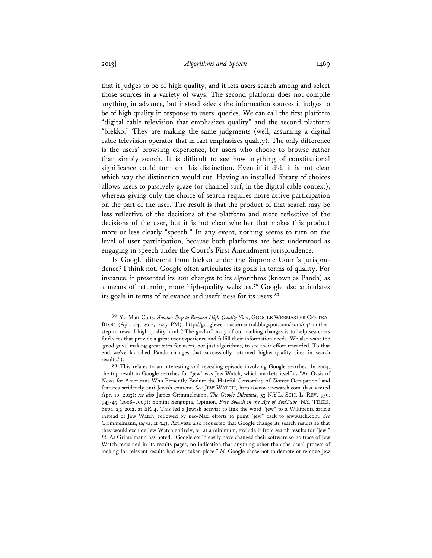that it judges to be of high quality, and it lets users search among and select those sources in a variety of ways. The second platform does not compile anything in advance, but instead selects the information sources it judges to be of high quality in response to users' queries. We can call the first platform "digital cable television that emphasizes quality" and the second platform "blekko." They are making the same judgments (well, assuming a digital cable television operator that in fact emphasizes quality). The only difference is the users' browsing experience, for users who choose to browse rather than simply search. It is difficult to see how anything of constitutional significance could turn on this distinction. Even if it did, it is not clear which way the distinction would cut. Having an installed library of choices allows users to passively graze (or channel surf, in the digital cable context), whereas giving only the choice of search requires more active participation on the part of the user. The result is that the product of that search may be less reflective of the decisions of the platform and more reflective of the decisions of the user, but it is not clear whether that makes this product more or less clearly "speech." In any event, nothing seems to turn on the level of user participation, because both platforms are best understood as engaging in speech under the Court's First Amendment jurisprudence.

Is Google different from blekko under the Supreme Court's jurisprudence? I think not. Google often articulates its goals in terms of quality. For instance, it presented its 2011 changes to its algorithms (known as Panda) as a means of returning more high-quality websites.**<sup>79</sup>** Google also articulates its goals in terms of relevance and usefulness for its users.**<sup>80</sup>**

**<sup>79</sup>** *See* Matt Cutts, *Another Step to Reward High-Quality Sites*, GOOGLE WEBMASTER CENTRAL BLOG (Apr. 24, 2012, 2:45 PM), http://googlewebmastercentral.blogspot.com/2012/04/anotherstep-to-reward-high-quality.html ("The goal of many of our ranking changes is to help searchers find sites that provide a great user experience and fulfill their information needs. We also want the 'good guys' making great sites for users, not just algorithms, to see their effort rewarded. To that end we've launched Panda changes that successfully returned higher-quality sites in search results.").

**<sup>80</sup>** This relates to an interesting and revealing episode involving Google searches. In 2004, the top result in Google searches for "jew" was Jew Watch, which markets itself as "An Oasis of News for Americans Who Presently Endure the Hateful Censorship of Zionist Occupation" and features stridently anti-Jewish content. *See* JEW WATCH, http://www.jewwatch.com (last visited Apr. 10, 2013); *see also* James Grimmelmann, *The Google Dilemma*, 53 N.Y.L. SCH. L. REV. 939, 943-45 (2008–2009); Somini Sengupta, Opinion, *Free Speech in the Age of YouTube*, N.Y. TIMES, Sept. 23, 2012, at SR 4. This led a Jewish activist to link the word "jew" to a Wikipedia article instead of Jew Watch, followed by neo-Nazi efforts to point "jew" back to jewwatch.com. *See* Grimmelmann, *supra*, at 943. Activists also requested that Google change its search results so that they would exclude Jew Watch entirely, or, at a minimum, exclude it from search results for "jew." *Id.* As Grimelmann has noted, "Google could easily have changed their software so no trace of Jew Watch remained in its results pages, no indication that anything other than the usual process of looking for relevant results had ever taken place." *Id.* Google chose not to demote or remove Jew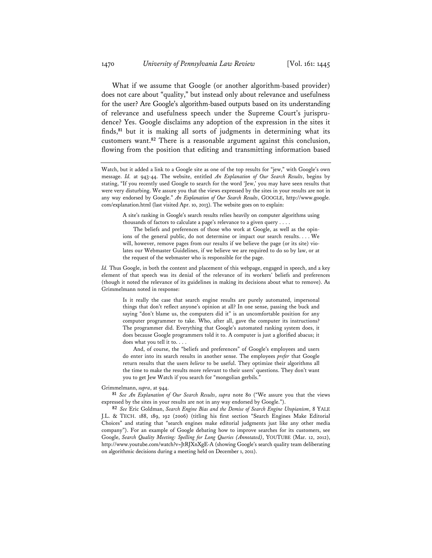What if we assume that Google (or another algorithm-based provider) does not care about "quality," but instead only about relevance and usefulness for the user? Are Google's algorithm-based outputs based on its understanding of relevance and usefulness speech under the Supreme Court's jurisprudence? Yes. Google disclaims any adoption of the expression in the sites it finds,**<sup>81</sup>** but it is making all sorts of judgments in determining what its customers want.**<sup>82</sup>** There is a reasonable argument against this conclusion, flowing from the position that editing and transmitting information based

A site's ranking in Google's search results relies heavily on computer algorithms using thousands of factors to calculate a page's relevance to a given query . . . .

The beliefs and preferences of those who work at Google, as well as the opinions of the general public, do not determine or impact our search results. . . . We will, however, remove pages from our results if we believe the page (or its site) violates our Webmaster Guidelines, if we believe we are required to do so by law, or at the request of the webmaster who is responsible for the page.

*Id.* Thus Google, in both the content and placement of this webpage, engaged in speech, and a key element of that speech was its denial of the relevance of its workers' beliefs and preferences (though it noted the relevance of its guidelines in making its decisions about what to remove). As Grimmelmann noted in response:

Is it really the case that search engine results are purely automated, impersonal things that don't reflect anyone's opinion at all? In one sense, passing the buck and saying "don't blame us, the computers did it" is an uncomfortable position for any computer programmer to take. Who, after all, gave the computer its instructions? The programmer did. Everything that Google's automated ranking system does, it does because Google programmers told it to. A computer is just a glorified abacus; it does what you tell it to. . . .

And, of course, the "beliefs and preferences" of Google's employees and users do enter into its search results in another sense. The employees *prefer* that Google return results that the users *believe* to be useful. They optimize their algorithms all the time to make the results more relevant to their users' questions. They don't want you to get Jew Watch if you search for "mongolian gerbils."

#### Grimmelmann, *supra*, at 944.

**81** *See An Explanation of Our Search Results*, *supra* note 80 ("We assure you that the views expressed by the sites in your results are not in any way endorsed by Google.").

**82** *See* Eric Goldman, *Search Engine Bias and the Demise of Search Engine Utopianism*, 8 YALE J.L. & TECH. 188, 189, 192 (2006) (titling his first section "Search Engines Make Editorial Choices" and stating that "search engines make editorial judgments just like any other media company"). For an example of Google debating how to improve searches for its customers, see Google, *Search Quality Meeting: Spelling for Long Queries (Annotated)*, YOUTUBE (Mar. 12, 2012), http://www.youtube.com/watch?v=JtRJXnXgE-A (showing Google's search quality team deliberating on algorithmic decisions during a meeting held on December 1, 2011).

Watch, but it added a link to a Google site as one of the top results for "jew," with Google's own message. *Id.* at 943-44. The website, entitled *An Explanation of Our Search Results*, begins by stating, "If you recently used Google to search for the word 'Jew,' you may have seen results that were very disturbing. We assure you that the views expressed by the sites in your results are not in any way endorsed by Google." *An Explanation of Our Search Results*, GOOGLE, http://www.google. com/explanation.html (last visited Apr. 10, 2013). The website goes on to explain: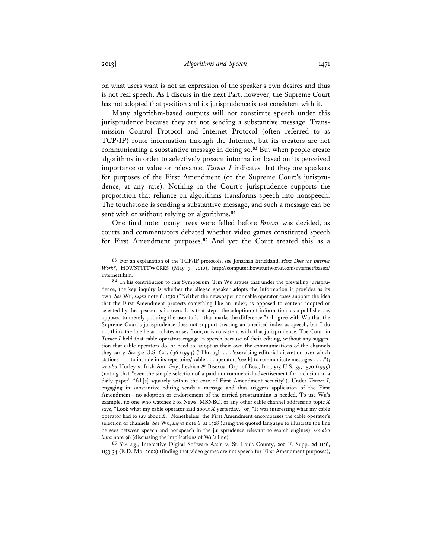on what users want is not an expression of the speaker's own desires and thus is not real speech. As I discuss in the next Part, however, the Supreme Court has not adopted that position and its jurisprudence is not consistent with it.

Many algorithm-based outputs will not constitute speech under this jurisprudence because they are not sending a substantive message. Transmission Control Protocol and Internet Protocol (often referred to as TCP/IP) route information through the Internet, but its creators are not communicating a substantive message in doing so.**<sup>83</sup>** But when people create algorithms in order to selectively present information based on its perceived importance or value or relevance, *Turner I* indicates that they are speakers for purposes of the First Amendment (or the Supreme Court's jurisprudence, at any rate). Nothing in the Court's jurisprudence supports the proposition that reliance on algorithms transforms speech into nonspeech. The touchstone is sending a substantive message, and such a message can be sent with or without relying on algorithms.**<sup>84</sup>**

One final note: many trees were felled before *Brown* was decided, as courts and commentators debated whether video games constituted speech for First Amendment purposes.**<sup>85</sup>** And yet the Court treated this as a

**85** *See, e.g.*, Interactive Digital Software Ass'n v. St. Louis County, 200 F. Supp. 2d 1126, 1133-34 (E.D. Mo. 2002) (finding that video games are not speech for First Amendment purposes),

**<sup>83</sup>** For an explanation of the TCP/IP protocols, see Jonathan Strickland, *How Does the Internet Work?*, HOWSTUFFWORKS (May 7, 2010), http://computer.howstuffworks.com/internet/basics/ internet1.htm.

**<sup>84</sup>** In his contribution to this Symposium, Tim Wu argues that under the prevailing jurisprudence, the key inquiry is whether the alleged speaker adopts the information it provides as its own. *See* Wu, *supra* note 6, 1530 ("Neither the newspaper nor cable operator cases support the idea that the First Amendment protects something like an index, as opposed to content adopted or selected by the speaker as its own. It is that step—the adoption of information, as a publisher, as opposed to merely pointing the user to it—that marks the difference."). I agree with Wu that the Supreme Court's jurisprudence does not support treating an unedited index as speech, but I do not think the line he articulates arises from, or is consistent with, that jurisprudence. The Court in *Turner I* held that cable operators engage in speech because of their editing, without any suggestion that cable operators do, or need to, adopt as their own the communications of the channels they carry. *See* 512 U.S. 622, 636 (1994) ("Through . . . 'exercising editorial discretion over which stations . . . to include in its repertoire,' cable . . . operators 'see[k] to communicate messages . . . ."); *see also* Hurley v. Irish-Am. Gay, Lesbian & Bisexual Grp. of Bos., Inc., 515 U.S. 557, 570 (1995) (noting that "even the simple selection of a paid noncommercial advertisement for inclusion in a daily paper" "fall[s] squarely within the core of First Amendment security"). Under *Turner I*, engaging in substantive editing sends a message and thus triggers application of the First Amendment—no adoption or endorsement of the carried programming is needed. To use Wu's example, no one who watches Fox News, MSNBC, or any other cable channel addressing topic *X* says, "Look what my cable operator said about *X* yesterday," or, "It was interesting what my cable operator had to say about *X*." Nonetheless, the First Amendment encompasses the cable operator's selection of channels. *See* Wu, *supra* note 6, at 1528 (using the quoted language to illustrate the line he sees between speech and nonspeech in the jurisprudence relevant to search engines); *see also infra* note 98 (discussing the implications of Wu's line).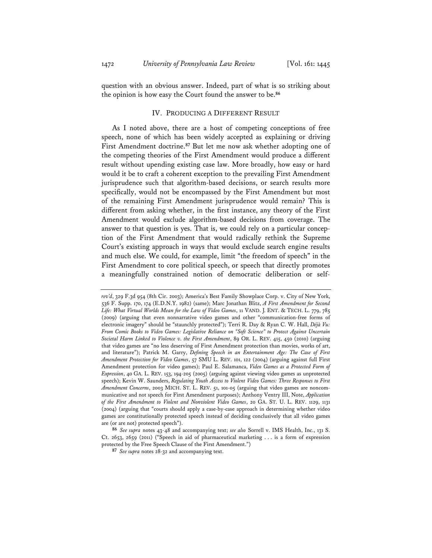question with an obvious answer. Indeed, part of what is so striking about the opinion is how easy the Court found the answer to be.**<sup>86</sup>**

### IV. PRODUCING A DIFFERENT RESULT

As I noted above, there are a host of competing conceptions of free speech, none of which has been widely accepted as explaining or driving First Amendment doctrine.**<sup>87</sup>** But let me now ask whether adopting one of the competing theories of the First Amendment would produce a different result without upending existing case law. More broadly, how easy or hard would it be to craft a coherent exception to the prevailing First Amendment jurisprudence such that algorithm-based decisions, or search results more specifically, would not be encompassed by the First Amendment but most of the remaining First Amendment jurisprudence would remain? This is different from asking whether, in the first instance, any theory of the First Amendment would exclude algorithm-based decisions from coverage. The answer to that question is yes. That is, we could rely on a particular conception of the First Amendment that would radically rethink the Supreme Court's existing approach in ways that would exclude search engine results and much else. We could, for example, limit "the freedom of speech" in the First Amendment to core political speech, or speech that directly promotes a meaningfully constrained notion of democratic deliberation or self-

*rev'd*, 329 F.3d 954 (8th Cir. 2003); America's Best Family Showplace Corp. v. City of New York, 536 F. Supp. 170, 174 (E.D.N.Y. 1982) (same); Marc Jonathan Blitz, *A First Amendment for Second Life: What Virtual Worlds Mean for the Law of Video Games*, 11 VAND. J. ENT. & TECH. L. 779, 785 (2009) (arguing that even nonnarrative video games and other "communication-free forms of electronic imagery" should be "staunchly protected"); Terri R. Day & Ryan C. W. Hall, *Déjà Vu: From Comic Books to Video Games: Legislative Reliance on "Soft Science" to Protect Against Uncertain Societal Harm Linked to Violence v. the First Amendment*, 89 OR. L. REV. 415, 450 (2010) (arguing that video games are "no less deserving of First Amendment protection than movies, works of art, and literature"); Patrick M. Garry, *Defining Speech in an Entertainment Age: The Case of First Amendment Protection for Video Games*, 57 SMU L. REV. 101, 122 (2004) (arguing against full First Amendment protection for video games); Paul E. Salamanca, *Video Games as a Protected Form of Expression*, 40 GA. L. REV. 153, 194-205 (2005) (arguing against viewing video games as unprotected speech); Kevin W. Saunders, *Regulating Youth Access to Violent Video Games: Three Responses to First Amendment Concerns*, 2003 MICH. ST. L. REV. 51, 101-05 (arguing that video games are noncommunicative and not speech for First Amendment purposes); Anthony Ventry III, Note, *Application of the First Amendment to Violent and Nonviolent Video Games*, 20 GA. ST. U. L. REV. 1129, 1131 (2004) (arguing that "courts should apply a case-by-case approach in determining whether video games are constitutionally protected speech instead of deciding conclusively that all video games are (or are not) protected speech").

**<sup>86</sup>** *See supra* notes 43-48 and accompanying text; *see also* Sorrell v. IMS Health, Inc., 131 S. Ct. 2653, 2659 (2011) ("Speech in aid of pharmaceutical marketing . . . is a form of expression protected by the Free Speech Clause of the First Amendment.")

**<sup>87</sup>** *See supra* notes 28-32 and accompanying text.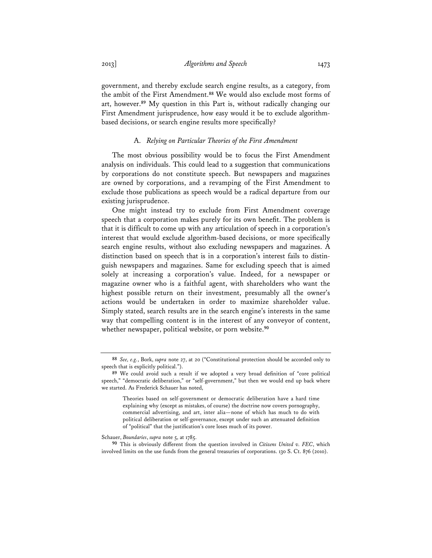government, and thereby exclude search engine results, as a category, from the ambit of the First Amendment.**<sup>88</sup>** We would also exclude most forms of art, however.**<sup>89</sup>** My question in this Part is, without radically changing our First Amendment jurisprudence, how easy would it be to exclude algorithmbased decisions, or search engine results more specifically?

### A. *Relying on Particular Theories of the First Amendment*

The most obvious possibility would be to focus the First Amendment analysis on individuals. This could lead to a suggestion that communications by corporations do not constitute speech. But newspapers and magazines are owned by corporations, and a revamping of the First Amendment to exclude those publications as speech would be a radical departure from our existing jurisprudence.

One might instead try to exclude from First Amendment coverage speech that a corporation makes purely for its own benefit. The problem is that it is difficult to come up with any articulation of speech in a corporation's interest that would exclude algorithm-based decisions, or more specifically search engine results, without also excluding newspapers and magazines. A distinction based on speech that is in a corporation's interest fails to distinguish newspapers and magazines. Same for excluding speech that is aimed solely at increasing a corporation's value. Indeed, for a newspaper or magazine owner who is a faithful agent, with shareholders who want the highest possible return on their investment, presumably all the owner's actions would be undertaken in order to maximize shareholder value. Simply stated, search results are in the search engine's interests in the same way that compelling content is in the interest of any conveyor of content, whether newspaper, political website, or porn website.**<sup>90</sup>**

### Schauer, *Boundaries*, *supra* note 5, at 1785.

**90** This is obviously different from the question involved in *Citizens United v. FEC*, which involved limits on the use funds from the general treasuries of corporations. 130 S. Ct. 876 (2010).

**<sup>88</sup>** *See, e.g.*, Bork, *supra* note 27, at 20 ("Constitutional protection should be accorded only to speech that is explicitly political.").

**<sup>89</sup>** We could avoid such a result if we adopted a very broad definition of "core political speech," "democratic deliberation," or "self-government," but then we would end up back where we started. As Frederick Schauer has noted,

Theories based on self-government or democratic deliberation have a hard time explaining why (except as mistakes, of course) the doctrine now covers pornography, commercial advertising, and art, inter alia—none of which has much to do with political deliberation or self-governance, except under such an attenuated definition of "political" that the justification's core loses much of its power.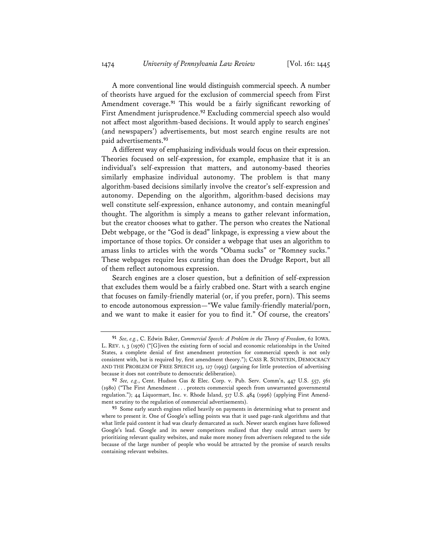A more conventional line would distinguish commercial speech. A number of theorists have argued for the exclusion of commercial speech from First Amendment coverage.**<sup>91</sup>** This would be a fairly significant reworking of First Amendment jurisprudence.**<sup>92</sup>** Excluding commercial speech also would not affect most algorithm-based decisions. It would apply to search engines' (and newspapers') advertisements, but most search engine results are not paid advertisements.**<sup>93</sup>**

A different way of emphasizing individuals would focus on their expression. Theories focused on self-expression, for example, emphasize that it is an individual's self-expression that matters, and autonomy-based theories similarly emphasize individual autonomy. The problem is that many algorithm-based decisions similarly involve the creator's self-expression and autonomy. Depending on the algorithm, algorithm-based decisions may well constitute self-expression, enhance autonomy, and contain meaningful thought. The algorithm is simply a means to gather relevant information, but the creator chooses what to gather. The person who creates the National Debt webpage, or the "God is dead" linkpage, is expressing a view about the importance of those topics. Or consider a webpage that uses an algorithm to amass links to articles with the words "Obama sucks" or "Romney sucks." These webpages require less curating than does the Drudge Report, but all of them reflect autonomous expression.

Search engines are a closer question, but a definition of self-expression that excludes them would be a fairly crabbed one. Start with a search engine that focuses on family-friendly material (or, if you prefer, porn). This seems to encode autonomous expression—"We value family-friendly material/porn, and we want to make it easier for you to find it." Of course, the creators'

**<sup>91</sup>** *See, e.g.*, C. Edwin Baker, *Commercial Speech: A Problem in the Theory of Freedom*, 62 IOWA. L. REV. 1, 3 (1976) ("[G]iven the existing form of social and economic relationships in the United States, a complete denial of first amendment protection for commercial speech is not only consistent with, but is required by, first amendment theory."); CASS R. SUNSTEIN, DEMOCRACY AND THE PROBLEM OF FREE SPEECH 123, 127 (1993) (arguing for little protection of advertising because it does not contribute to democratic deliberation).

**<sup>92</sup>** *See, e.g.*, Cent. Hudson Gas & Elec. Corp. v. Pub. Serv. Comm'n, 447 U.S. 557, 561 (1980) ("The First Amendment . . . protects commercial speech from unwarranted governmental regulation."); 44 Liquormart, Inc. v. Rhode Island, 517 U.S. 484 (1996) (applying First Amendment scrutiny to the regulation of commercial advertisements).

**<sup>93</sup>** Some early search engines relied heavily on payments in determining what to present and where to present it. One of Google's selling points was that it used page-rank algorithms and that what little paid content it had was clearly demarcated as such. Newer search engines have followed Google's lead. Google and its newer competitors realized that they could attract users by prioritizing relevant quality websites, and make more money from advertisers relegated to the side because of the large number of people who would be attracted by the promise of search results containing relevant websites.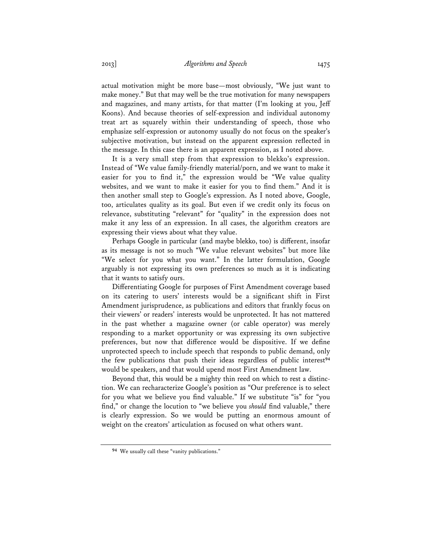actual motivation might be more base—most obviously, "We just want to make money." But that may well be the true motivation for many newspapers and magazines, and many artists, for that matter (I'm looking at you, Jeff Koons). And because theories of self-expression and individual autonomy treat art as squarely within their understanding of speech, those who emphasize self-expression or autonomy usually do not focus on the speaker's subjective motivation, but instead on the apparent expression reflected in the message. In this case there is an apparent expression, as I noted above.

It is a very small step from that expression to blekko's expression. Instead of "We value family-friendly material/porn, and we want to make it easier for you to find it," the expression would be "We value quality websites, and we want to make it easier for you to find them." And it is then another small step to Google's expression. As I noted above, Google, too, articulates quality as its goal. But even if we credit only its focus on relevance, substituting "relevant" for "quality" in the expression does not make it any less of an expression. In all cases, the algorithm creators are expressing their views about what they value.

Perhaps Google in particular (and maybe blekko, too) is different, insofar as its message is not so much "We value relevant websites" but more like "We select for you what you want." In the latter formulation, Google arguably is not expressing its own preferences so much as it is indicating that it wants to satisfy ours.

Differentiating Google for purposes of First Amendment coverage based on its catering to users' interests would be a significant shift in First Amendment jurisprudence, as publications and editors that frankly focus on their viewers' or readers' interests would be unprotected. It has not mattered in the past whether a magazine owner (or cable operator) was merely responding to a market opportunity or was expressing its own subjective preferences, but now that difference would be dispositive. If we define unprotected speech to include speech that responds to public demand, only the few publications that push their ideas regardless of public interest**<sup>94</sup>** would be speakers, and that would upend most First Amendment law.

Beyond that, this would be a mighty thin reed on which to rest a distinction. We can recharacterize Google's position as "Our preference is to select for you what we believe you find valuable." If we substitute "is" for "you find," or change the locution to "we believe you *should* find valuable," there is clearly expression. So we would be putting an enormous amount of weight on the creators' articulation as focused on what others want.

**<sup>94</sup>** We usually call these "vanity publications."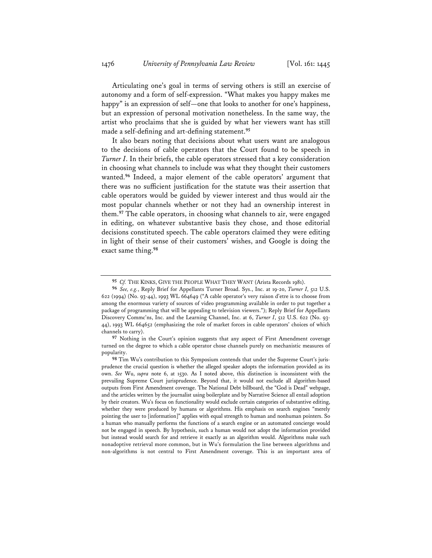Articulating one's goal in terms of serving others is still an exercise of autonomy and a form of self-expression. "What makes you happy makes me happy" is an expression of self—one that looks to another for one's happiness, but an expression of personal motivation nonetheless. In the same way, the artist who proclaims that she is guided by what her viewers want has still made a self-defining and art-defining statement.**<sup>95</sup>**

It also bears noting that decisions about what users want are analogous to the decisions of cable operators that the Court found to be speech in *Turner I*. In their briefs, the cable operators stressed that a key consideration in choosing what channels to include was what they thought their customers wanted.**<sup>96</sup>** Indeed, a major element of the cable operators' argument that there was no sufficient justification for the statute was their assertion that cable operators would be guided by viewer interest and thus would air the most popular channels whether or not they had an ownership interest in them.**<sup>97</sup>** The cable operators, in choosing what channels to air, were engaged in editing, on whatever substantive basis they chose, and those editorial decisions constituted speech. The cable operators claimed they were editing in light of their sense of their customers' wishes, and Google is doing the exact same thing.**<sup>98</sup>**

**<sup>95</sup>** *Cf.* THE KINKS, GIVE THE PEOPLE WHAT THEY WANT (Arista Records 1981).

**<sup>96</sup>** *See, e.g.*, Reply Brief for Appellants Turner Broad. Sys., Inc. at 19-20, *Turner I*, 512 U.S. 622 (1994) (No. 93-44), 1993 WL 664649 ("A cable operator's very raison d'etre is to choose from among the enormous variety of sources of video programming available in order to put together a package of programming that will be appealing to television viewers."); Reply Brief for Appellants Discovery Commc'ns, Inc. and the Learning Channel, Inc. at 6, *Turner I*, 512 U.S. 622 (No. 93- 44), 1993 WL 664652 (emphasizing the role of market forces in cable operators' choices of which channels to carry).

**<sup>97</sup>** Nothing in the Court's opinion suggests that any aspect of First Amendment coverage turned on the degree to which a cable operator chose channels purely on mechanistic measures of popularity.

**<sup>98</sup>** Tim Wu's contribution to this Symposium contends that under the Supreme Court's jurisprudence the crucial question is whether the alleged speaker adopts the information provided as its own. *See* Wu, *supra* note 6, at 1530. As I noted above, this distinction is inconsistent with the prevailing Supreme Court jurisprudence. Beyond that, it would not exclude all algorithm-based outputs from First Amendment coverage. The National Debt billboard, the "God is Dead" webpage, and the articles written by the journalist using boilerplate and by Narrative Science all entail adoption by their creators. Wu's focus on functionality would exclude certain categories of substantive editing, whether they were produced by humans or algorithms. His emphasis on search engines "merely pointing the user to [information]" applies with equal strength to human and nonhuman pointers. So a human who manually performs the functions of a search engine or an automated concierge would not be engaged in speech. By hypothesis, such a human would not adopt the information provided but instead would search for and retrieve it exactly as an algorithm would. Algorithms make such nonadoptive retrieval more common, but in Wu's formulation the line between algorithms and non-algorithms is not central to First Amendment coverage. This is an important area of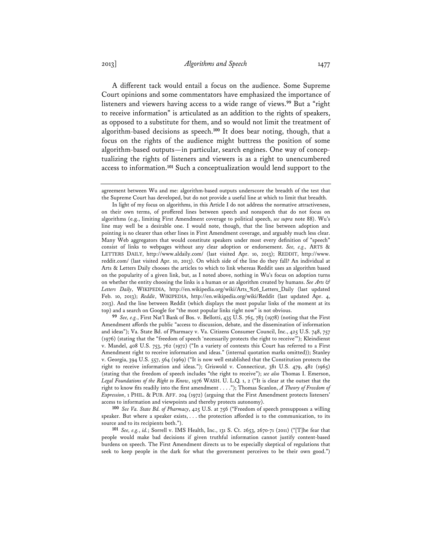A different tack would entail a focus on the audience. Some Supreme Court opinions and some commentators have emphasized the importance of listeners and viewers having access to a wide range of views.**<sup>99</sup>** But a "right to receive information" is articulated as an addition to the rights of speakers, as opposed to a substitute for them, and so would not limit the treatment of algorithm-based decisions as speech.**<sup>100</sup>** It does bear noting, though, that a focus on the rights of the audience might buttress the position of some algorithm-based outputs—in particular, search engines. One way of conceptualizing the rights of listeners and viewers is as a right to unencumbered access to information.**<sup>101</sup>** Such a conceptualization would lend support to the

**99** *See, e.g.*, First Nat'l Bank of Bos. v. Bellotti, 435 U.S. 765, 783 (1978) (noting that the First Amendment affords the public "access to discussion, debate, and the dissemination of information and ideas"); Va. State Bd. of Pharmacy v. Va. Citizens Consumer Council, Inc., 425 U.S. 748, 757 (1976) (stating that the "freedom of speech 'necessarily protects the right to receive'"); Kleindienst v. Mandel, 408 U.S. 753, 762 (1972) ("In a variety of contexts this Court has referred to a First Amendment right to receive information and ideas." (internal quotation marks omitted)); Stanley v. Georgia, 394 U.S. 557, 564 (1969) ("It is now well established that the Constitution protects the right to receive information and ideas."); Griswold v. Connecticut, 381 U.S. 479, 482 (1965) (stating that the freedom of speech includes "the right to receive"); *see also* Thomas I. Emerson, *Legal Foundations of the Right to Know*, 1976 WASH. U. L.Q. 1, 2 ("It is clear at the outset that the right to know fits readily into the first amendment . . . ."); Thomas Scanlon, *A Theory of Freedom of Expression*, 1 PHIL. & PUB. AFF. 204 (1972) (arguing that the First Amendment protects listeners' access to information and viewpoints and thereby protects autonomy).

**100** *See Va. State Bd. of Pharmacy*, 425 U.S. at 756 ("Freedom of speech presupposes a willing speaker. But where a speaker exists, . . . the protection afforded is to the communication, to its source and to its recipients both.").

**101** *See, e.g.*, *id.*; Sorrell v. IMS Health, Inc., 131 S. Ct. 2653, 2670-71 (2011) ("[T]he fear that people would make bad decisions if given truthful information cannot justify content-based burdens on speech. The First Amendment directs us to be especially skeptical of regulations that seek to keep people in the dark for what the government perceives to be their own good.")

agreement between Wu and me: algorithm-based outputs underscore the breadth of the test that the Supreme Court has developed, but do not provide a useful line at which to limit that breadth.

In light of my focus on algorithms, in this Article I do not address the normative attractiveness, on their own terms, of proffered lines between speech and nonspeech that do not focus on algorithms (e.g., limiting First Amendment coverage to political speech, *see supra* note 88). Wu's line may well be a desirable one. I would note, though, that the line between adoption and pointing is no clearer than other lines in First Amendment coverage, and arguably much less clear. Many Web aggregators that would constitute speakers under most every definition of "speech" consist of links to webpages without any clear adoption or endorsement. *See, e.g.,* ARTS & LETTERS DAILY, http://www.aldaily.com/ (last visited Apr. 10, 2013); REDDIT, http://www. reddit.com/ (last visited Apr. 10, 2013). On which side of the line do they fall? An individual at Arts & Letters Daily chooses the articles to which to link whereas Reddit uses an algorithm based on the popularity of a given link, but, as I noted above, nothing in Wu's focus on adoption turns on whether the entity choosing the links is a human or an algorithm created by humans. *See Arts & Letters Daily*, WIKIPEDIA, http://en.wikipedia.org/wiki/Arts\_%26\_Letters\_Daily (last updated Feb. 10, 2013); *Reddit*, WIKIPEDIA, http://en.wikipedia.org/wiki/Reddit (last updated Apr. 4, 2013). And the line between Reddit (which displays the most popular links of the moment at its top) and a search on Google for "the most popular links right now" is not obvious.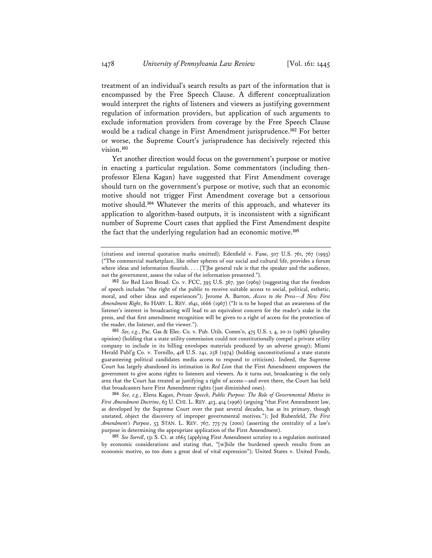treatment of an individual's search results as part of the information that is encompassed by the Free Speech Clause. A different conceptualization would interpret the rights of listeners and viewers as justifying government regulation of information providers, but application of such arguments to exclude information providers from coverage by the Free Speech Clause would be a radical change in First Amendment jurisprudence.**<sup>102</sup>** For better or worse, the Supreme Court's jurisprudence has decisively rejected this vision.**<sup>103</sup>**

Yet another direction would focus on the government's purpose or motive in enacting a particular regulation. Some commentators (including thenprofessor Elena Kagan) have suggested that First Amendment coverage should turn on the government's purpose or motive, such that an economic motive should not trigger First Amendment coverage but a censorious motive should.**<sup>104</sup>** Whatever the merits of this approach, and whatever its application to algorithm-based outputs, it is inconsistent with a significant number of Supreme Court cases that applied the First Amendment despite the fact that the underlying regulation had an economic motive.**<sup>105</sup>**

**105** *See Sorrell*, 131 S. Ct. at 2665 (applying First Amendment scrutiny to a regulation motivated by economic considerations and stating that, "[w]hile the burdened speech results from an economic motive, so too does a great deal of vital expression"); United States v. United Foods,

<sup>(</sup>citations and internal quotation marks omitted); Edenfield v. Fane, 507 U.S. 761, 767 (1993) ("The commercial marketplace, like other spheres of our social and cultural life, provides a forum where ideas and information flourish. . . . [T]he general rule is that the speaker and the audience, not the government, assess the value of the information presented.").

**<sup>102</sup>** *See* Red Lion Broad. Co. v. FCC, 395 U.S. 367, 390 (1969) (suggesting that the freedom of speech includes "the right of the public to receive suitable access to social, political, esthetic, moral, and other ideas and experiences"); Jerome A. Barron, *Access to the Press—A New First Amendment Right*, 80 HARV. L. REV. 1641, 1666 (1967) ("It is to be hoped that an awareness of the listener's interest in broadcasting will lead to an equivalent concern for the reader's stake in the press, and that first amendment recognition will be given to a right of access for the protection of the reader, the listener, and the viewer.").

**<sup>103</sup>** *See, e.g.*, Pac. Gas & Elec. Co. v. Pub. Utils. Comm'n, 475 U.S. 1, 4, 20-21 (1986) (plurality opinion) (holding that a state utility commission could not constitutionally compel a private utility company to include in its billing envelopes materials produced by an adverse group); Miami Herald Publ'g Co. v. Tornillo, 418 U.S. 241, 258 (1974) (holding unconstitutional a state statute guaranteeing political candidates media access to respond to criticism). Indeed, the Supreme Court has largely abandoned its intimation in *Red Lion* that the First Amendment empowers the government to give access rights to listeners and viewers. As it turns out, broadcasting is the only area that the Court has treated as justifying a right of access—and even there, the Court has held that broadcasters have First Amendment rights (just diminished ones).

**<sup>104</sup>** *See, e.g.*, Elena Kagan, *Private Speech, Public Purpose: The Role of Governmental Motive in First Amendment Doctrine*, 63 U. CHI. L. REV. 413, 414 (1996) (arguing "that First Amendment law, as developed by the Supreme Court over the past several decades, has as its primary, though unstated, object the discovery of improper governmental motives."); Jed Rubenfeld, *The First Amendment's Purpose*, 53 STAN. L. REV. 767, 775-79 (2001) (asserting the centrality of a law's purpose in determining the appropriate application of the First Amendment).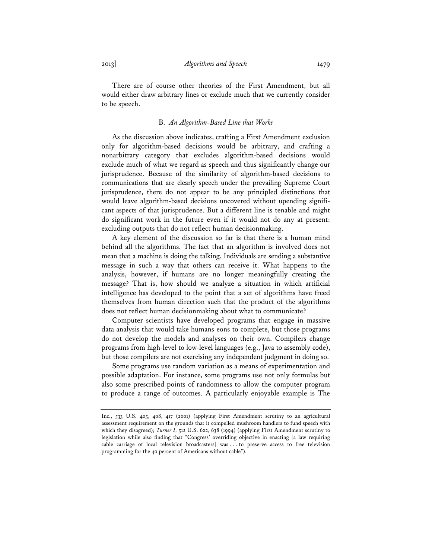There are of course other theories of the First Amendment, but all would either draw arbitrary lines or exclude much that we currently consider to be speech.

### B. *An Algorithm-Based Line that Works*

As the discussion above indicates, crafting a First Amendment exclusion only for algorithm-based decisions would be arbitrary, and crafting a nonarbitrary category that excludes algorithm-based decisions would exclude much of what we regard as speech and thus significantly change our jurisprudence. Because of the similarity of algorithm-based decisions to communications that are clearly speech under the prevailing Supreme Court jurisprudence, there do not appear to be any principled distinctions that would leave algorithm-based decisions uncovered without upending significant aspects of that jurisprudence. But a different line is tenable and might do significant work in the future even if it would not do any at present: excluding outputs that do not reflect human decisionmaking.

A key element of the discussion so far is that there is a human mind behind all the algorithms. The fact that an algorithm is involved does not mean that a machine is doing the talking. Individuals are sending a substantive message in such a way that others can receive it. What happens to the analysis, however, if humans are no longer meaningfully creating the message? That is, how should we analyze a situation in which artificial intelligence has developed to the point that a set of algorithms have freed themselves from human direction such that the product of the algorithms does not reflect human decisionmaking about what to communicate?

Computer scientists have developed programs that engage in massive data analysis that would take humans eons to complete, but those programs do not develop the models and analyses on their own. Compilers change programs from high-level to low-level languages (e.g., Java to assembly code), but those compilers are not exercising any independent judgment in doing so.

Some programs use random variation as a means of experimentation and possible adaptation. For instance, some programs use not only formulas but also some prescribed points of randomness to allow the computer program to produce a range of outcomes. A particularly enjoyable example is The

Inc., 533 U.S. 405, 408, 417 (2001) (applying First Amendment scrutiny to an agricultural assessment requirement on the grounds that it compelled mushroom handlers to fund speech with which they disagreed); *Turner I*, 512 U.S. 622, 638 (1994) (applying First Amendment scrutiny to legislation while also finding that "Congress' overriding objective in enacting [a law requiring cable carriage of local television broadcasters] was . . . to preserve access to free television programming for the 40 percent of Americans without cable").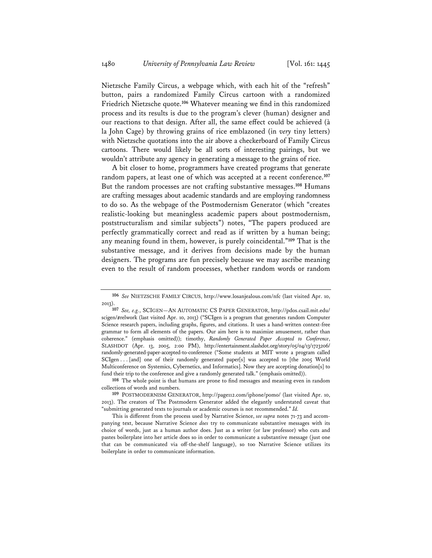Nietzsche Family Circus, a webpage which, with each hit of the "refresh" button, pairs a randomized Family Circus cartoon with a randomized Friedrich Nietzsche quote.**<sup>106</sup>** Whatever meaning we find in this randomized process and its results is due to the program's clever (human) designer and our reactions to that design. After all, the same effect could be achieved (à la John Cage) by throwing grains of rice emblazoned (in *very* tiny letters) with Nietzsche quotations into the air above a checkerboard of Family Circus cartoons. There would likely be all sorts of interesting pairings, but we wouldn't attribute any agency in generating a message to the grains of rice.

A bit closer to home, programmers have created programs that generate random papers, at least one of which was accepted at a recent conference.**<sup>107</sup>** But the random processes are not crafting substantive messages.**<sup>108</sup>** Humans are crafting messages about academic standards and are employing randomness to do so. As the webpage of the Postmodernism Generator (which "creates realistic-looking but meaningless academic papers about postmodernism, poststructuralism and similar subjects") notes, "The papers produced are perfectly grammatically correct and read as if written by a human being; any meaning found in them, however, is purely coincidental."**<sup>109</sup>** That is the substantive message, and it derives from decisions made by the human designers. The programs are fun precisely because we may ascribe meaning even to the result of random processes, whether random words or random

**108** The whole point is that humans are prone to find messages and meaning even in random collections of words and numbers.

**<sup>106</sup>** *See* NIETZSCHE FAMILY CIRCUS, http://www.losanjealous.com/nfc (last visited Apr. 10, 2013).

**<sup>107</sup>** *See, e.g.*, SCIGEN—AN AUTOMATIC CS PAPER GENERATOR, http://pdos.csail.mit.edu/ scigen/#relwork (last visited Apr. 10, 2013) ("SCIgen is a program that generates random Computer Science research papers, including graphs, figures, and citations. It uses a hand-written context-free grammar to form all elements of the papers. Our aim here is to maximize amusement, rather than coherence." (emphasis omitted)); timothy, *Randomly Generated Paper Accepted to Conference*, SLASHDOT (Apr. 13, 2005, 2:00 PM), http://entertainment.slashdot.org/story/05/04/13/1723206/ randomly-generated-paper-accepted-to-conference ("Some students at MIT wrote a program called SCIgen . . . [and] one of their randomly generated paper[s] was accepted to [the 2005 World Multiconference on Systemics, Cybernetics, and Informatics]. Now they are accepting donation[s] to fund their trip to the conference and give a randomly generated talk." (emphasis omitted)).

**<sup>109</sup>** POSTMODERNISM GENERATOR, http://page112.com/iphone/pomo/ (last visited Apr. 10, 2013). The creators of The Postmodern Generator added the elegantly understated caveat that "submitting generated texts to journals or academic courses is not recommended." *Id.*

This is different from the process used by Narrative Science, *see supra* notes 71-73 and accompanying text, because Narrative Science *does* try to communicate substantive messages with its choice of words, just as a human author does. Just as a writer (or law professor) who cuts and pastes boilerplate into her article does so in order to communicate a substantive message (just one that can be communicated via off-the-shelf language), so too Narrative Science utilizes its boilerplate in order to communicate information.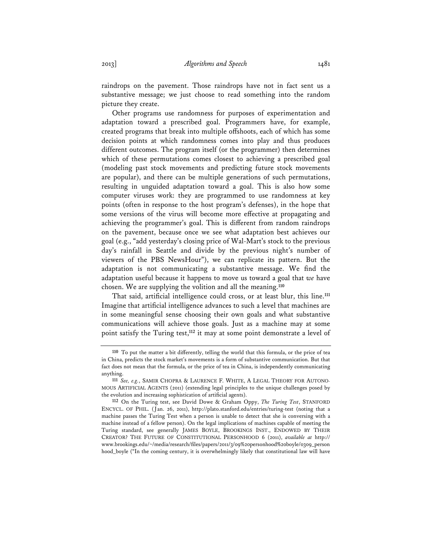raindrops on the pavement. Those raindrops have not in fact sent us a substantive message; we just choose to read something into the random picture they create.

Other programs use randomness for purposes of experimentation and adaptation toward a prescribed goal. Programmers have, for example, created programs that break into multiple offshoots, each of which has some decision points at which randomness comes into play and thus produces different outcomes. The program itself (or the programmer) then determines which of these permutations comes closest to achieving a prescribed goal (modeling past stock movements and predicting future stock movements are popular), and there can be multiple generations of such permutations, resulting in unguided adaptation toward a goal. This is also how some computer viruses work: they are programmed to use randomness at key points (often in response to the host program's defenses), in the hope that some versions of the virus will become more effective at propagating and achieving the programmer's goal. This is different from random raindrops on the pavement, because once we see what adaptation best achieves our goal (e.g., "add yesterday's closing price of Wal-Mart's stock to the previous day's rainfall in Seattle and divide by the previous night's number of viewers of the PBS NewsHour"), we can replicate its pattern. But the adaptation is not communicating a substantive message. We find the adaptation useful because it happens to move us toward a goal that *we* have chosen. We are supplying the volition and all the meaning.**<sup>110</sup>**

That said, artificial intelligence could cross, or at least blur, this line.**<sup>111</sup>** Imagine that artificial intelligence advances to such a level that machines are in some meaningful sense choosing their own goals and what substantive communications will achieve those goals. Just as a machine may at some point satisfy the Turing test,**<sup>112</sup>** it may at some point demonstrate a level of

**<sup>110</sup>** To put the matter a bit differently, telling the world that this formula, or the price of tea in China, predicts the stock market's movements is a form of substantive communication. But that fact does not mean that the formula, or the price of tea in China, is independently communicating anything.

**<sup>111</sup>** *See, e.g.*, SAMIR CHOPRA & LAURENCE F. WHITE, A LEGAL THEORY FOR AUTONO-MOUS ARTIFICIAL AGENTS (2011) (extending legal principles to the unique challenges posed by the evolution and increasing sophistication of artificial agents).

**<sup>112</sup>** On the Turing test, see David Dowe & Graham Oppy, *The Turing Test*, STANFORD ENCYCL. OF PHIL. (Jan. 26, 2011), http://plato.stanford.edu/entries/turing-test (noting that a machine passes the Turing Test when a person is unable to detect that she is conversing with a machine instead of a fellow person). On the legal implications of machines capable of meeting the Turing standard, see generally JAMES BOYLE, BROOKINGS INST., ENDOWED BY THEIR CREATOR? THE FUTURE OF CONSTITUTIONAL PERSONHOOD 6 (2011), *available at* http:// www.brookings.edu/~/media/research/files/papers/2011/3/09%20personhood%20boyle/0309\_person hood\_boyle ("In the coming century, it is overwhelmingly likely that constitutional law will have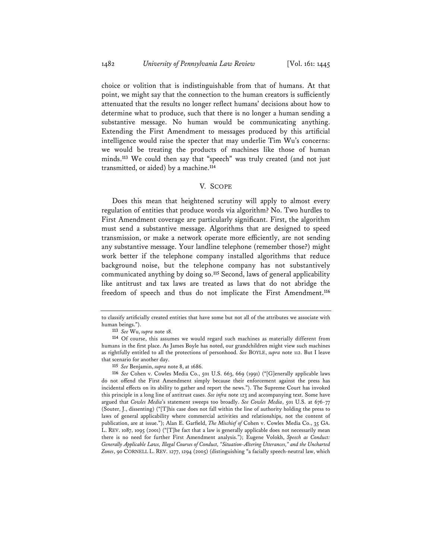choice or volition that is indistinguishable from that of humans. At that point, we might say that the connection to the human creators is sufficiently attenuated that the results no longer reflect humans' decisions about how to determine what to produce, such that there is no longer a human sending a substantive message. No human would be communicating anything. Extending the First Amendment to messages produced by this artificial intelligence would raise the specter that may underlie Tim Wu's concerns: we would be treating the products of machines like those of human minds.**<sup>113</sup>** We could then say that "speech" was truly created (and not just transmitted, or aided) by a machine.**<sup>114</sup>**

### V. SCOPE

Does this mean that heightened scrutiny will apply to almost every regulation of entities that produce words via algorithm? No. Two hurdles to First Amendment coverage are particularly significant. First, the algorithm must send a substantive message. Algorithms that are designed to speed transmission, or make a network operate more efficiently, are not sending any substantive message. Your landline telephone (remember those?) might work better if the telephone company installed algorithms that reduce background noise, but the telephone company has not substantively communicated anything by doing so.**<sup>115</sup>** Second, laws of general applicability like antitrust and tax laws are treated as laws that do not abridge the freedom of speech and thus do not implicate the First Amendment.**<sup>116</sup>**

to classify artificially created entities that have some but not all of the attributes we associate with human beings.").

**<sup>113</sup>** *See* Wu, *supra* note 18.

**<sup>114</sup>** Of course, this assumes we would regard such machines as materially different from humans in the first place. As James Boyle has noted, our grandchildren might view such machines as rightfully entitled to all the protections of personhood. *See* BOYLE, *supra* note 112. But I leave that scenario for another day.

**<sup>115</sup>** *See* Benjamin, *supra* note 8, at 1686.

**<sup>116</sup>** *See* Cohen v. Cowles Media Co., 501 U.S. 663, 669 (1991) ("[G]enerally applicable laws do not offend the First Amendment simply because their enforcement against the press has incidental effects on its ability to gather and report the news."). The Supreme Court has invoked this principle in a long line of antitrust cases. *See infra* note 123 and accompanying text. Some have argued that *Cowles Media*'s statement sweeps too broadly. *See Cowles Media*, 501 U.S. at 676-77 (Souter, J., dissenting) ("[T]his case does not fall within the line of authority holding the press to laws of general applicability where commercial activities and relationships, not the content of publication, are at issue."); Alan E. Garfield, *The Mischief of* Cohen v. Cowles Media Co., 35 GA. L. REV. 1087, 1095 (2001) ("[T]he fact that a law is generally applicable does not necessarily mean there is no need for further First Amendment analysis."); Eugene Volokh, *Speech as Conduct: Generally Applicable Laws, Illegal Courses of Conduct, "Situation-Altering Utterances," and the Uncharted Zones*, 90 CORNELL L. REV. 1277, 1294 (2005) (distinguishing "a facially speech-neutral law, which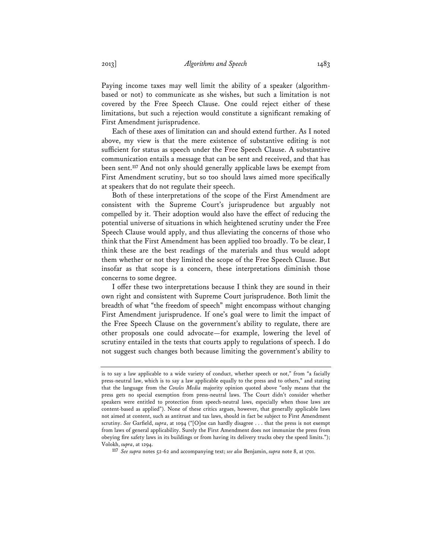Paying income taxes may well limit the ability of a speaker (algorithmbased or not) to communicate as she wishes, but such a limitation is not covered by the Free Speech Clause. One could reject either of these limitations, but such a rejection would constitute a significant remaking of First Amendment jurisprudence.

Each of these axes of limitation can and should extend further. As I noted above, my view is that the mere existence of substantive editing is not sufficient for status as speech under the Free Speech Clause. A substantive communication entails a message that can be sent and received, and that has been sent.**<sup>117</sup>** And not only should generally applicable laws be exempt from First Amendment scrutiny, but so too should laws aimed more specifically at speakers that do not regulate their speech.

Both of these interpretations of the scope of the First Amendment are consistent with the Supreme Court's jurisprudence but arguably not compelled by it. Their adoption would also have the effect of reducing the potential universe of situations in which heightened scrutiny under the Free Speech Clause would apply, and thus alleviating the concerns of those who think that the First Amendment has been applied too broadly. To be clear, I think these are the best readings of the materials and thus would adopt them whether or not they limited the scope of the Free Speech Clause. But insofar as that scope is a concern, these interpretations diminish those concerns to some degree.

I offer these two interpretations because I think they are sound in their own right and consistent with Supreme Court jurisprudence. Both limit the breadth of what "the freedom of speech" might encompass without changing First Amendment jurisprudence. If one's goal were to limit the impact of the Free Speech Clause on the government's ability to regulate, there are other proposals one could advocate—for example, lowering the level of scrutiny entailed in the tests that courts apply to regulations of speech. I do not suggest such changes both because limiting the government's ability to

**117** *See supra* notes 52-62 and accompanying text; *see also* Benjamin, *supra* note 8, at 1701.

is to say a law applicable to a wide variety of conduct, whether speech or not," from "a facially press-neutral law, which is to say a law applicable equally to the press and to others," and stating that the language from the *Cowles Media* majority opinion quoted above "only means that the press gets no special exemption from press-neutral laws. The Court didn't consider whether speakers were entitled to protection from speech-neutral laws, especially when those laws are content-based as applied"). None of these critics argues, however, that generally applicable laws not aimed at content, such as antitrust and tax laws, should in fact be subject to First Amendment scrutiny. *See* Garfield, *supra*, at 1094 ("[O]ne can hardly disagree . . . that the press is not exempt from laws of general applicability. Surely the First Amendment does not immunize the press from obeying fire safety laws in its buildings or from having its delivery trucks obey the speed limits."); Volokh, *supra*, at 1294.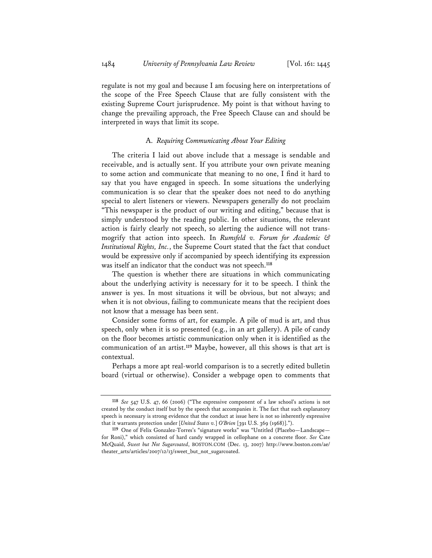regulate is not my goal and because I am focusing here on interpretations of the scope of the Free Speech Clause that are fully consistent with the existing Supreme Court jurisprudence. My point is that without having to change the prevailing approach, the Free Speech Clause can and should be interpreted in ways that limit its scope.

### A. *Requiring Communicating About Your Editing*

The criteria I laid out above include that a message is sendable and receivable, and is actually sent. If you attribute your own private meaning to some action and communicate that meaning to no one, I find it hard to say that you have engaged in speech. In some situations the underlying communication is so clear that the speaker does not need to do anything special to alert listeners or viewers. Newspapers generally do not proclaim "This newspaper is the product of our writing and editing," because that is simply understood by the reading public. In other situations, the relevant action is fairly clearly not speech, so alerting the audience will not transmogrify that action into speech. In *Rumsfeld v. Forum for Academic & Institutional Rights, Inc.*, the Supreme Court stated that the fact that conduct would be expressive only if accompanied by speech identifying its expression was itself an indicator that the conduct was not speech.**<sup>118</sup>**

The question is whether there are situations in which communicating about the underlying activity is necessary for it to be speech. I think the answer is yes. In most situations it will be obvious, but not always; and when it is not obvious, failing to communicate means that the recipient does not know that a message has been sent.

Consider some forms of art, for example. A pile of mud is art, and thus speech, only when it is so presented (e.g., in an art gallery). A pile of candy on the floor becomes artistic communication only when it is identified as the communication of an artist.**<sup>119</sup>** Maybe, however, all this shows is that art is contextual.

Perhaps a more apt real-world comparison is to a secretly edited bulletin board (virtual or otherwise). Consider a webpage open to comments that

**<sup>118</sup>** *See* 547 U.S. 47, 66 (2006) ("The expressive component of a law school's actions is not created by the conduct itself but by the speech that accompanies it. The fact that such explanatory speech is necessary is strong evidence that the conduct at issue here is not so inherently expressive that it warrants protection under [*United States v.*] *O'Brien* [391 U.S. 369 (1968)].").

**<sup>119</sup>** One of Felix Gonzalez-Torres's "signature works" was "Untitled (Placebo—Landscape for Roni)," which consisted of hard candy wrapped in cellophane on a concrete floor. *See* Cate McQuaid, *Sweet but Not Sugarcoated*, BOSTON.COM (Dec. 13, 2007) http://www.boston.com/ae/ theater\_arts/articles/2007/12/13/sweet\_but\_not\_sugarcoated.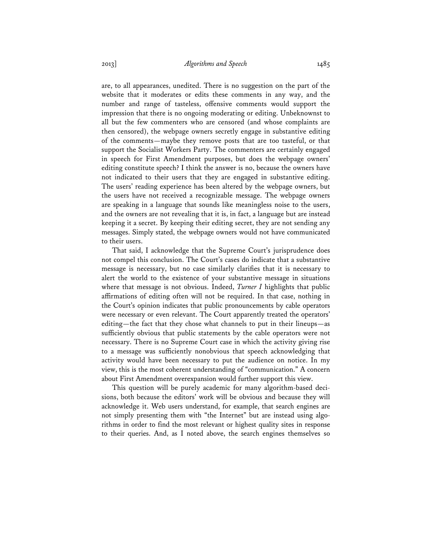are, to all appearances, unedited. There is no suggestion on the part of the website that it moderates or edits these comments in any way, and the number and range of tasteless, offensive comments would support the impression that there is no ongoing moderating or editing. Unbeknownst to all but the few commenters who are censored (and whose complaints are then censored), the webpage owners secretly engage in substantive editing of the comments—maybe they remove posts that are too tasteful, or that support the Socialist Workers Party. The commenters are certainly engaged in speech for First Amendment purposes, but does the webpage owners' editing constitute speech? I think the answer is no, because the owners have not indicated to their users that they are engaged in substantive editing. The users' reading experience has been altered by the webpage owners, but the users have not received a recognizable message. The webpage owners are speaking in a language that sounds like meaningless noise to the users, and the owners are not revealing that it is, in fact, a language but are instead keeping it a secret. By keeping their editing secret, they are not sending any messages. Simply stated, the webpage owners would not have communicated to their users.

That said, I acknowledge that the Supreme Court's jurisprudence does not compel this conclusion. The Court's cases do indicate that a substantive message is necessary, but no case similarly clarifies that it is necessary to alert the world to the existence of your substantive message in situations where that message is not obvious. Indeed, *Turner I* highlights that public affirmations of editing often will not be required. In that case, nothing in the Court's opinion indicates that public pronouncements by cable operators were necessary or even relevant. The Court apparently treated the operators' editing—the fact that they chose what channels to put in their lineups—as sufficiently obvious that public statements by the cable operators were not necessary. There is no Supreme Court case in which the activity giving rise to a message was sufficiently nonobvious that speech acknowledging that activity would have been necessary to put the audience on notice. In my view, this is the most coherent understanding of "communication." A concern about First Amendment overexpansion would further support this view.

This question will be purely academic for many algorithm-based decisions, both because the editors' work will be obvious and because they will acknowledge it. Web users understand, for example, that search engines are not simply presenting them with "the Internet" but are instead using algorithms in order to find the most relevant or highest quality sites in response to their queries. And, as I noted above, the search engines themselves so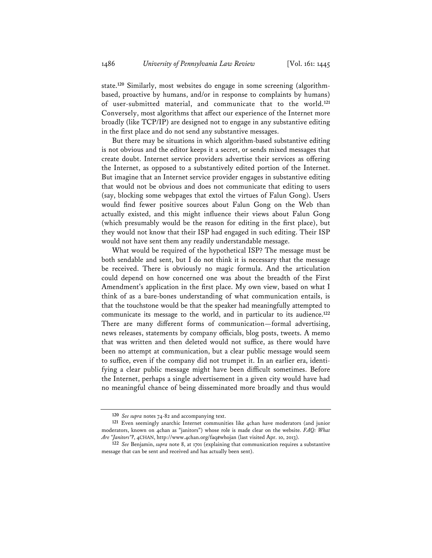state.**120** Similarly, most websites do engage in some screening (algorithmbased, proactive by humans, and/or in response to complaints by humans) of user-submitted material, and communicate that to the world.**<sup>121</sup>** Conversely, most algorithms that affect our experience of the Internet more broadly (like TCP/IP) are designed not to engage in any substantive editing in the first place and do not send any substantive messages.

But there may be situations in which algorithm-based substantive editing is not obvious and the editor keeps it a secret, or sends mixed messages that create doubt. Internet service providers advertise their services as offering the Internet, as opposed to a substantively edited portion of the Internet. But imagine that an Internet service provider engages in substantive editing that would not be obvious and does not communicate that editing to users (say, blocking some webpages that extol the virtues of Falun Gong). Users would find fewer positive sources about Falun Gong on the Web than actually existed, and this might influence their views about Falun Gong (which presumably would be the reason for editing in the first place), but they would not know that their ISP had engaged in such editing. Their ISP would not have sent them any readily understandable message.

What would be required of the hypothetical ISP? The message must be both sendable and sent, but I do not think it is necessary that the message be received. There is obviously no magic formula. And the articulation could depend on how concerned one was about the breadth of the First Amendment's application in the first place. My own view, based on what I think of as a bare-bones understanding of what communication entails, is that the touchstone would be that the speaker had meaningfully attempted to communicate its message to the world, and in particular to its audience.**<sup>122</sup>** There are many different forms of communication—formal advertising, news releases, statements by company officials, blog posts, tweets. A memo that was written and then deleted would not suffice, as there would have been no attempt at communication, but a clear public message would seem to suffice, even if the company did not trumpet it. In an earlier era, identifying a clear public message might have been difficult sometimes. Before the Internet, perhaps a single advertisement in a given city would have had no meaningful chance of being disseminated more broadly and thus would

**<sup>120</sup>** *See supra* notes 74-82 and accompanying text.

**<sup>121</sup>** Even seemingly anarchic Internet communities like 4chan have moderators (and junior moderators, known on 4chan as "janitors") whose role is made clear on the website. *FAQ: What Are "Janitors"?*, 4CHAN, http://www.4chan.org/faq#whojan (last visited Apr. 10, 2013).

**<sup>122</sup>** *See* Benjamin, *supra* note 8, at 1701 (explaining that communication requires a substantive message that can be sent and received and has actually been sent).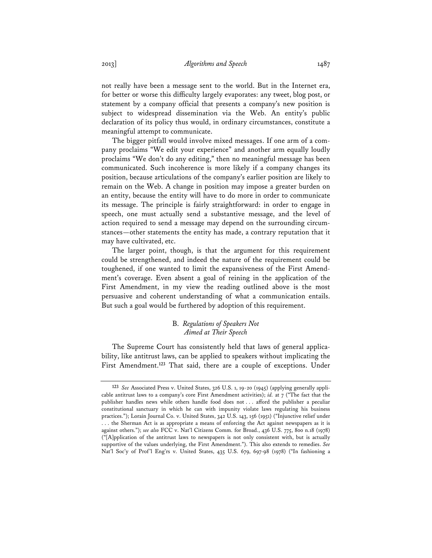not really have been a message sent to the world. But in the Internet era, for better or worse this difficulty largely evaporates: any tweet, blog post, or statement by a company official that presents a company's new position is subject to widespread dissemination via the Web. An entity's public declaration of its policy thus would, in ordinary circumstances, constitute a meaningful attempt to communicate.

The bigger pitfall would involve mixed messages. If one arm of a company proclaims "We edit your experience" and another arm equally loudly proclaims "We don't do any editing," then no meaningful message has been communicated. Such incoherence is more likely if a company changes its position, because articulations of the company's earlier position are likely to remain on the Web. A change in position may impose a greater burden on an entity, because the entity will have to do more in order to communicate its message. The principle is fairly straightforward: in order to engage in speech, one must actually send a substantive message, and the level of action required to send a message may depend on the surrounding circumstances—other statements the entity has made, a contrary reputation that it may have cultivated, etc.

The larger point, though, is that the argument for this requirement could be strengthened, and indeed the nature of the requirement could be toughened, if one wanted to limit the expansiveness of the First Amendment's coverage. Even absent a goal of reining in the application of the First Amendment, in my view the reading outlined above is the most persuasive and coherent understanding of what a communication entails. But such a goal would be furthered by adoption of this requirement.

### B. *Regulations of Speakers Not Aimed at Their Speech*

The Supreme Court has consistently held that laws of general applicability, like antitrust laws, can be applied to speakers without implicating the First Amendment.**<sup>123</sup>** That said, there are a couple of exceptions. Under

**<sup>123</sup>** *See* Associated Press v. United States, 326 U.S. 1, 19-20 (1945) (applying generally applicable antitrust laws to a company's core First Amendment activities); *id.* at 7 ("The fact that the publisher handles news while others handle food does not . . . afford the publisher a peculiar constitutional sanctuary in which he can with impunity violate laws regulating his business practices."); Lorain Journal Co. v. United States, 342 U.S. 143, 156 (1951) ("Injunctive relief under . . . the Sherman Act is as appropriate a means of enforcing the Act against newspapers as it is against others."); *see also* FCC v. Nat'l Citizens Comm. for Broad., 436 U.S. 775, 800 n.18 (1978) ("[A]pplication of the antitrust laws to newspapers is not only consistent with, but is actually supportive of the values underlying, the First Amendment."). This also extends to remedies. *See* Nat'l Soc'y of Prof'l Eng'rs v. United States, 435 U.S. 679, 697-98 (1978) ("In fashioning a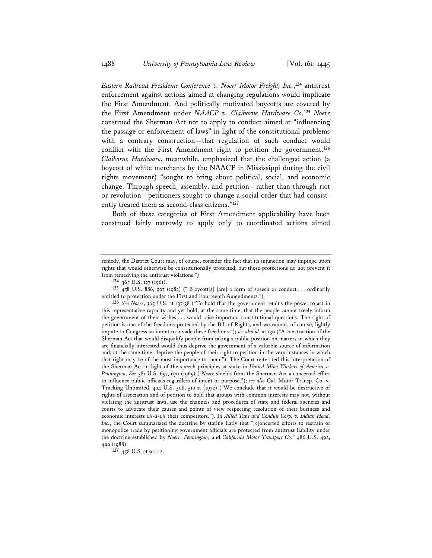*Eastern Railroad Presidents Conference v. Noerr Motor Freight, Inc.*, **<sup>124</sup>** antitrust enforcement against actions aimed at changing regulations would implicate the First Amendment. And politically motivated boycotts are covered by the First Amendment under *NAACP v. Claiborne Hardware Co.***<sup>125</sup>** *Noerr* construed the Sherman Act not to apply to conduct aimed at "influencing the passage or enforcement of laws" in light of the constitutional problems with a contrary construction—that regulation of such conduct would conflict with the First Amendment right to petition the government.**<sup>126</sup>** *Claiborne Hardware*, meanwhile, emphasized that the challenged action (a boycott of white merchants by the NAACP in Mississippi during the civil rights movement) "sought to bring about political, social, and economic change. Through speech, assembly, and petition—rather than through riot or revolution—petitioners sought to change a social order that had consistently treated them as second-class citizens."**<sup>127</sup>**

Both of these categories of First Amendment applicability have been construed fairly narrowly to apply only to coordinated actions aimed

**127** 458 U.S. at 911-12.

remedy, the District Court may, of course, consider the fact that its injunction may impinge upon rights that would otherwise be constitutionally protected, but those protections do not prevent it from remedying the antitrust violations.")

**<sup>124</sup>** 365 U.S. 127 (1961).

**<sup>125</sup>** 458 U.S. 886, 907 (1982) ("[B]oycott[s] [are] a form of speech or conduct . . . ordinarily entitled to protection under the First and Fourteenth Amendments.").

**<sup>126</sup>** *See Noerr*, 365 U.S. at 137-38 ("To hold that the government retains the power to act in this representative capacity and yet hold, at the same time, that the people cannot freely inform the government of their wishes . . . would raise important constitutional questions. The right of petition is one of the freedoms protected by the Bill of Rights, and we cannot, of course, lightly impute to Congress an intent to invade these freedoms."); *see also id.* at 139 ("A construction of the Sherman Act that would disqualify people from taking a public position on matters in which they are financially interested would thus deprive the government of a valuable source of information and, at the same time, deprive the people of their right to petition in the very instances in which that right may be of the most importance to them."). The Court reiterated this interpretation of the Sherman Act in light of the speech principles at stake in *United Mine Workers of America v. Pennington*. *See* 381 U.S. 657, 670 (1965) ("*Noerr* shields from the Sherman Act a concerted effort to influence public officials regardless of intent or purpose."); *see also* Cal. Motor Transp. Co. v. Trucking Unlimited, 404 U.S. 508, 510-11 (1972) ("We conclude that it would be destructive of rights of association and of petition to hold that groups with common interests may not, without violating the antitrust laws, use the channels and procedures of state and federal agencies and courts to advocate their causes and points of view respecting resolution of their business and economic interests *vis-à-vis* their competitors."). In *Allied Tube and Conduit Corp. v. Indian Head, Inc.*, the Court summarized the doctrine by stating flatly that "[c]oncerted efforts to restrain or monopolize trade by petitioning government officials are protected from antitrust liability under the doctrine established by *Noerr*; *Pennington*; and *California Motor Transport Co.*" 486 U.S. 492, 499 (1988).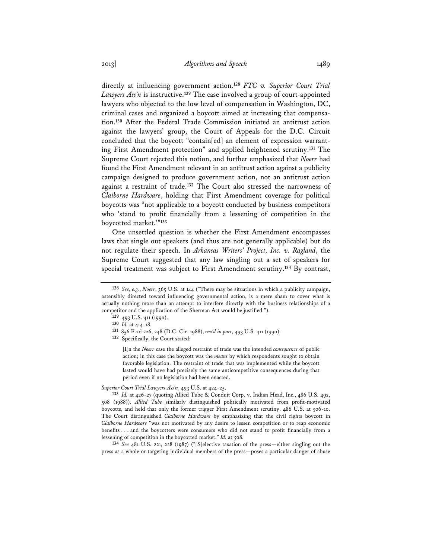directly at influencing government action.**<sup>128</sup>** *FTC v. Superior Court Trial Lawyers Ass'n* is instructive.**<sup>129</sup>** The case involved a group of court-appointed lawyers who objected to the low level of compensation in Washington, DC, criminal cases and organized a boycott aimed at increasing that compensation.**<sup>130</sup>** After the Federal Trade Commission initiated an antitrust action against the lawyers' group, the Court of Appeals for the D.C. Circuit concluded that the boycott "contain[ed] an element of expression warranting First Amendment protection" and applied heightened scrutiny.**<sup>131</sup>** The Supreme Court rejected this notion, and further emphasized that *Noerr* had found the First Amendment relevant in an antitrust action against a publicity campaign designed to produce government action, not an antitrust action against a restraint of trade.**<sup>132</sup>** The Court also stressed the narrowness of *Claiborne Hardware*, holding that First Amendment coverage for political boycotts was "not applicable to a boycott conducted by business competitors who 'stand to profit financially from a lessening of competition in the boycotted market.'"**<sup>133</sup>**

One unsettled question is whether the First Amendment encompasses laws that single out speakers (and thus are not generally applicable) but do not regulate their speech. In *Arkansas Writers' Project, Inc. v. Ragland*, the Supreme Court suggested that any law singling out a set of speakers for special treatment was subject to First Amendment scrutiny.**<sup>134</sup>** By contrast,

[I]n the *Noerr* case the alleged restraint of trade was the intended *consequence* of public action; in this case the boycott was the *means* by which respondents sought to obtain favorable legislation. The restraint of trade that was implemented while the boycott lasted would have had precisely the same anticompetitive consequences during that period even if no legislation had been enacted.

#### *Superior Court Trial Lawyers Ass'n*, 493 U.S. at 424-25.

**133** *Id.* at 426-27 (quoting Allied Tube & Conduit Corp. v. Indian Head, Inc., 486 U.S. 492, 508 (1988)). *Allied Tube* similarly distinguished politically motivated from profit-motivated boycotts, and held that only the former trigger First Amendment scrutiny. 486 U.S. at 506-10. The Court distinguished *Claiborne Hardware* by emphasizing that the civil rights boycott in *Claiborne Hardware* "was not motivated by any desire to lessen competition or to reap economic benefits . . . and the boycotters were consumers who did not stand to profit financially from a lessening of competition in the boycotted market." *Id.* at 508.

**134** *See* 481 U.S. 221, 228 (1987) ("[S]elective taxation of the press—either singling out the press as a whole or targeting individual members of the press—poses a particular danger of abuse

**<sup>128</sup>** *See, e.g.*, *Noerr*, 365 U.S. at 144 ("There may be situations in which a publicity campaign, ostensibly directed toward influencing governmental action, is a mere sham to cover what is actually nothing more than an attempt to interfere directly with the business relationships of a competitor and the application of the Sherman Act would be justified.").

**<sup>129</sup>** 493 U.S. 411 (1990).

**<sup>130</sup>** *Id.* at 414-18.

**<sup>131</sup>** 856 F.2d 226, 248 (D.C. Cir. 1988), *rev'd in part*, 493 U.S. 411 (1990).

**<sup>132</sup>** Specifically, the Court stated: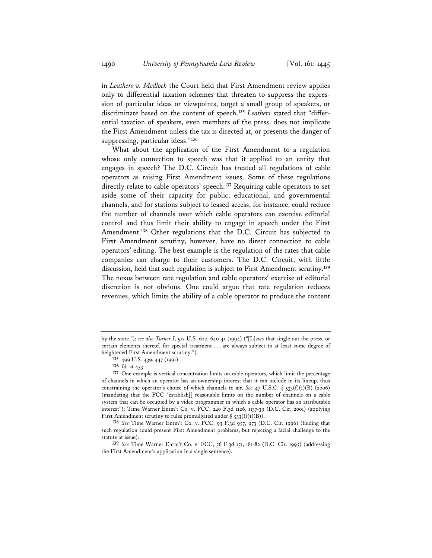in *Leathers v. Medlock* the Court held that First Amendment review applies only to differential taxation schemes that threaten to suppress the expression of particular ideas or viewpoints, target a small group of speakers, or discriminate based on the content of speech.**<sup>135</sup>** *Leathers* stated that "differential taxation of speakers, even members of the press, does not implicate the First Amendment unless the tax is directed at, or presents the danger of suppressing, particular ideas."**<sup>136</sup>**

What about the application of the First Amendment to a regulation whose only connection to speech was that it applied to an entity that engages in speech? The D.C. Circuit has treated all regulations of cable operators as raising First Amendment issues. Some of these regulations directly relate to cable operators' speech.**<sup>137</sup>** Requiring cable operators to set aside some of their capacity for public, educational, and governmental channels, and for stations subject to leased access, for instance, could reduce the number of channels over which cable operators can exercise editorial control and thus limit their ability to engage in speech under the First Amendment.**<sup>138</sup>** Other regulations that the D.C. Circuit has subjected to First Amendment scrutiny, however, have no direct connection to cable operators' editing. The best example is the regulation of the rates that cable companies can charge to their customers. The D.C. Circuit, with little discussion, held that such regulation is subject to First Amendment scrutiny.**<sup>139</sup>** The nexus between rate regulation and cable operators' exercise of editorial discretion is not obvious. One could argue that rate regulation reduces revenues, which limits the ability of a cable operator to produce the content

by the state."); *see also Turner I*, 512 U.S. 622, 640-41 (1994) ("[L]aws that single out the press, or certain elements thereof, for special treatment . . . are always subject to at least some degree of heightened First Amendment scrutiny.").

**<sup>135</sup>** 499 U.S. 439, 447 (1991).

**<sup>136</sup>** *Id.* at 453.

**<sup>137</sup>** One example is vertical concentration limits on cable operators, which limit the percentage of channels in which an operator has an ownership interest that it can include in its lineup, thus constraining the operator's choice of which channels to air. *See* 47 U.S.C. § 533(f)(1)(B) (2006) (mandating that the FCC "establish[] reasonable limits on the number of channels on a cable system that can be occupied by a video programmer in which a cable operator has an attributable interest"); Time Warner Entm't Co. v. FCC, 240 F.3d 1126, 1137-39 (D.C. Cir. 2001) (applying First Amendment scrutiny to rules promulgated under §  $533(f)(1)(B)$ .

**<sup>138</sup>** *See* Time Warner Entm't Co. v. FCC, 93 F.3d 957, 973 (D.C. Cir. 1996) (finding that such regulation could present First Amendment problems, but rejecting a facial challenge to the statute at issue).

**<sup>139</sup>** *See* Time Warner Entm't Co. v. FCC, 56 F.3d 151, 181-82 (D.C. Cir. 1995) (addressing the First Amendment's application in a single sentence).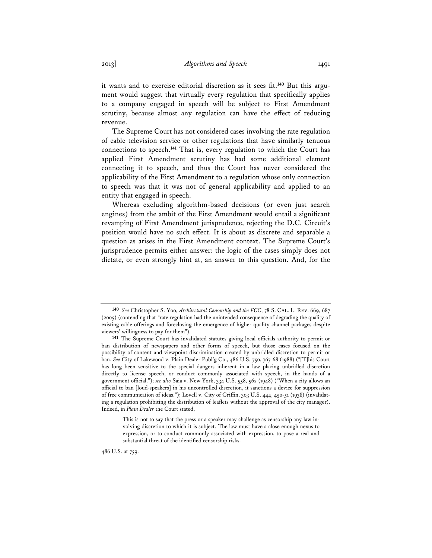it wants and to exercise editorial discretion as it sees fit.**140** But this argument would suggest that virtually every regulation that specifically applies to a company engaged in speech will be subject to First Amendment scrutiny, because almost any regulation can have the effect of reducing revenue.

The Supreme Court has not considered cases involving the rate regulation of cable television service or other regulations that have similarly tenuous connections to speech.**<sup>141</sup>** That is, every regulation to which the Court has applied First Amendment scrutiny has had some additional element connecting it to speech, and thus the Court has never considered the applicability of the First Amendment to a regulation whose only connection to speech was that it was not of general applicability and applied to an entity that engaged in speech.

Whereas excluding algorithm-based decisions (or even just search engines) from the ambit of the First Amendment would entail a significant revamping of First Amendment jurisprudence, rejecting the D.C. Circuit's position would have no such effect. It is about as discrete and separable a question as arises in the First Amendment context. The Supreme Court's jurisprudence permits either answer: the logic of the cases simply does not dictate, or even strongly hint at, an answer to this question. And, for the

486 U.S. at 759.

**<sup>140</sup>** *See* Christopher S. Yoo, *Architectural Censorship and the FCC*, 78 S. CAL. L. REV. 669, 687 (2005) (contending that "rate regulation had the unintended consequence of degrading the quality of existing cable offerings and foreclosing the emergence of higher quality channel packages despite viewers' willingness to pay for them").

**<sup>141</sup>** The Supreme Court has invalidated statutes giving local officials authority to permit or ban distribution of newspapers and other forms of speech, but those cases focused on the possibility of content and viewpoint discrimination created by unbridled discretion to permit or ban. *See* City of Lakewood v. Plain Dealer Publ'g Co., 486 U.S. 750, 767-68 (1988) ("[T]his Court has long been sensitive to the special dangers inherent in a law placing unbridled discretion directly to license speech, or conduct commonly associated with speech, in the hands of a government official."); *see also* Saia v. New York, 334 U.S. 558, 562 (1948) ("When a city allows an official to ban [loud-speakers] in his uncontrolled discretion, it sanctions a device for suppression of free communication of ideas."); Lovell v. City of Griffin, 303 U.S. 444, 450-51 (1938) (invalidating a regulation prohibiting the distribution of leaflets without the approval of the city manager). Indeed, in *Plain Dealer* the Court stated,

This is not to say that the press or a speaker may challenge as censorship any law involving discretion to which it is subject. The law must have a close enough nexus to expression, or to conduct commonly associated with expression, to pose a real and substantial threat of the identified censorship risks.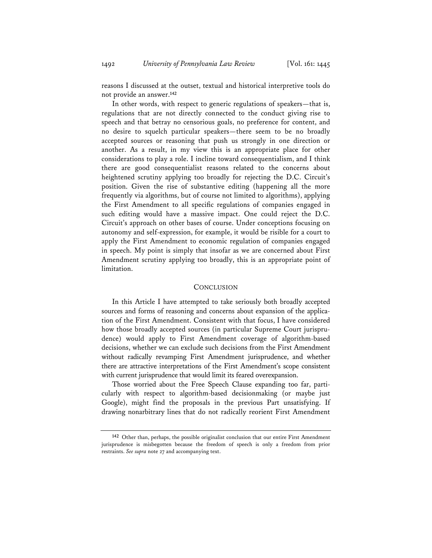reasons I discussed at the outset, textual and historical interpretive tools do not provide an answer.**<sup>142</sup>**

In other words, with respect to generic regulations of speakers—that is, regulations that are not directly connected to the conduct giving rise to speech and that betray no censorious goals, no preference for content, and no desire to squelch particular speakers—there seem to be no broadly accepted sources or reasoning that push us strongly in one direction or another. As a result, in my view this is an appropriate place for other considerations to play a role. I incline toward consequentialism, and I think there are good consequentialist reasons related to the concerns about heightened scrutiny applying too broadly for rejecting the D.C. Circuit's position. Given the rise of substantive editing (happening all the more frequently via algorithms, but of course not limited to algorithms), applying the First Amendment to all specific regulations of companies engaged in such editing would have a massive impact. One could reject the D.C. Circuit's approach on other bases of course. Under conceptions focusing on autonomy and self-expression, for example, it would be risible for a court to apply the First Amendment to economic regulation of companies engaged in speech. My point is simply that insofar as we are concerned about First Amendment scrutiny applying too broadly, this is an appropriate point of limitation.

### **CONCLUSION**

In this Article I have attempted to take seriously both broadly accepted sources and forms of reasoning and concerns about expansion of the application of the First Amendment. Consistent with that focus, I have considered how those broadly accepted sources (in particular Supreme Court jurisprudence) would apply to First Amendment coverage of algorithm-based decisions, whether we can exclude such decisions from the First Amendment without radically revamping First Amendment jurisprudence, and whether there are attractive interpretations of the First Amendment's scope consistent with current jurisprudence that would limit its feared overexpansion.

Those worried about the Free Speech Clause expanding too far, particularly with respect to algorithm-based decisionmaking (or maybe just Google), might find the proposals in the previous Part unsatisfying. If drawing nonarbitrary lines that do not radically reorient First Amendment

**<sup>142</sup>** Other than, perhaps, the possible originalist conclusion that our entire First Amendment jurisprudence is misbegotten because the freedom of speech is only a freedom from prior restraints. *See supra* note 27 and accompanying text.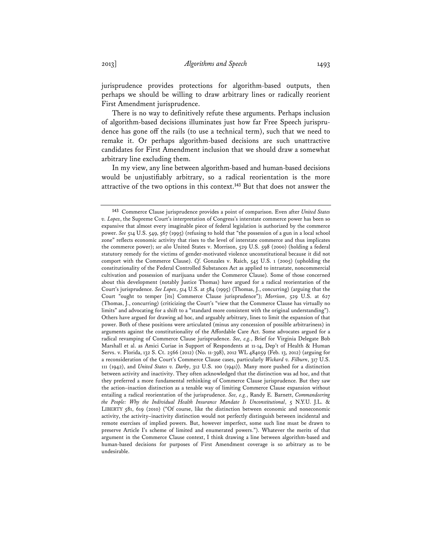jurisprudence provides protections for algorithm-based outputs, then perhaps we should be willing to draw arbitrary lines or radically reorient First Amendment jurisprudence.

There is no way to definitively refute these arguments. Perhaps inclusion of algorithm-based decisions illuminates just how far Free Speech jurisprudence has gone off the rails (to use a technical term), such that we need to remake it. Or perhaps algorithm-based decisions are such unattractive candidates for First Amendment inclusion that we should draw a somewhat arbitrary line excluding them.

In my view, any line between algorithm-based and human-based decisions would be unjustifiably arbitrary, so a radical reorientation is the more attractive of the two options in this context.**<sup>143</sup>** But that does not answer the

**<sup>143</sup>** Commerce Clause jurisprudence provides a point of comparison. Even after *United States v. Lopez*, the Supreme Court's interpretation of Congress's interstate commerce power has been so expansive that almost every imaginable piece of federal legislation is authorized by the commerce power. *See* 514 U.S. 549, 567 (1995) (refusing to hold that "the possession of a gun in a local school zone" reflects economic activity that rises to the level of interstate commerce and thus implicates the commerce power); *see also* United States v. Morrison, 529 U.S. 598 (2000) (holding a federal statutory remedy for the victims of gender-motivated violence unconstitutional because it did not comport with the Commerce Clause). *Cf.* Gonzales v. Raich, 545 U.S. 1 (2005) (upholding the constitutionality of the Federal Controlled Substances Act as applied to intrastate, noncommercial cultivation and possession of marijuana under the Commerce Clause)*.* Some of those concerned about this development (notably Justice Thomas) have argued for a radical reorientation of the Court's jurisprudence. *See Lopez*, 514 U.S. at 584 (1995) (Thomas, J., concurring) (arguing that the Court "ought to temper [its] Commerce Clause jurisprudence"); *Morrison*, 529 U.S. at 627 (Thomas, J., concurring) (criticizing the Court's "view that the Commerce Clause has virtually no limits" and advocating for a shift to a "standard more consistent with the original understanding"). Others have argued for drawing ad hoc, and arguably arbitrary, lines to limit the expansion of that power. Both of these positions were articulated (minus any concession of possible arbitrariness) in arguments against the constitutionality of the Affordable Care Act. Some advocates argued for a radical revamping of Commerce Clause jurisprudence. *See, e.g.*, Brief for Virginia Delegate Bob Marshall et al. as Amici Curiae in Support of Respondents at 11-14, Dep't of Health & Human Servs. v. Florida, 132 S. Ct. 2566 (2012) (No. 11-398), 2012 WL 484059 (Feb. 13, 2012) (arguing for a reconsideration of the Court's Commerce Clause cases, particularly *Wickard v. Filburn*, 317 U.S. 111 (1942), and *United States v. Darby*, 312 U.S. 100 (1941)). Many more pushed for a distinction between activity and inactivity. They often acknowledged that the distinction was ad hoc, and that they preferred a more fundamental rethinking of Commerce Clause jurisprudence. But they saw the action–inaction distinction as a tenable way of limiting Commerce Clause expansion without entailing a radical reorientation of the jurisprudence. *See, e.g.*, Randy E. Barnett, *Commandeering the People: Why the Individual Health Insurance Mandate Is Unconstitutional*, 5 N.Y.U. J.L. & LIBERTY 581, 619 (2010) ("Of course, like the distinction between economic and noneconomic activity, the activity–inactivity distinction would not perfectly distinguish between incidental and remote exercises of implied powers. But, however imperfect, some such line must be drawn to preserve Article I's scheme of limited and enumerated powers."). Whatever the merits of that argument in the Commerce Clause context, I think drawing a line between algorithm-based and human-based decisions for purposes of First Amendment coverage is so arbitrary as to be undesirable.